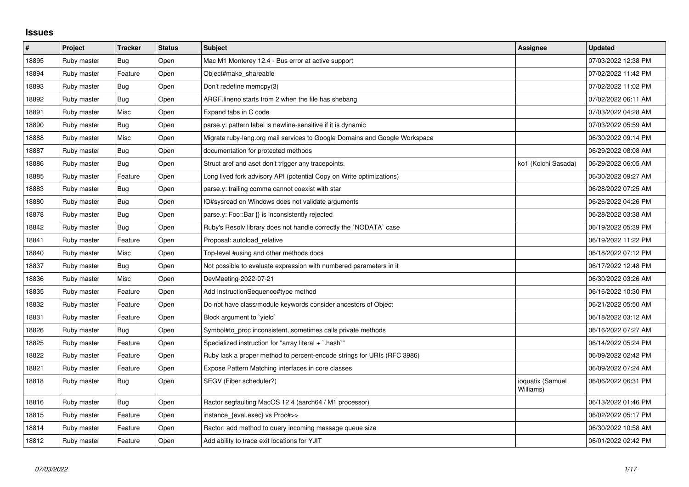## **Issues**

| $\pmb{\#}$ | Project     | <b>Tracker</b> | <b>Status</b> | <b>Subject</b>                                                             | <b>Assignee</b>               | <b>Updated</b>      |
|------------|-------------|----------------|---------------|----------------------------------------------------------------------------|-------------------------------|---------------------|
| 18895      | Ruby master | Bug            | Open          | Mac M1 Monterey 12.4 - Bus error at active support                         |                               | 07/03/2022 12:38 PM |
| 18894      | Ruby master | Feature        | Open          | Object#make shareable                                                      |                               | 07/02/2022 11:42 PM |
| 18893      | Ruby master | Bug            | Open          | Don't redefine memcpy(3)                                                   |                               | 07/02/2022 11:02 PM |
| 18892      | Ruby master | Bug            | Open          | ARGF lineno starts from 2 when the file has shebang                        |                               | 07/02/2022 06:11 AM |
| 18891      | Ruby master | Misc           | Open          | Expand tabs in C code                                                      |                               | 07/03/2022 04:28 AM |
| 18890      | Ruby master | Bug            | Open          | parse y: pattern label is newline-sensitive if it is dynamic               |                               | 07/03/2022 05:59 AM |
| 18888      | Ruby master | Misc           | Open          | Migrate ruby-lang.org mail services to Google Domains and Google Workspace |                               | 06/30/2022 09:14 PM |
| 18887      | Ruby master | Bug            | Open          | documentation for protected methods                                        |                               | 06/29/2022 08:08 AM |
| 18886      | Ruby master | Bug            | Open          | Struct aref and aset don't trigger any tracepoints.                        | ko1 (Koichi Sasada)           | 06/29/2022 06:05 AM |
| 18885      | Ruby master | Feature        | Open          | Long lived fork advisory API (potential Copy on Write optimizations)       |                               | 06/30/2022 09:27 AM |
| 18883      | Ruby master | Bug            | Open          | parse.y: trailing comma cannot coexist with star                           |                               | 06/28/2022 07:25 AM |
| 18880      | Ruby master | <b>Bug</b>     | Open          | IO#sysread on Windows does not validate arguments                          |                               | 06/26/2022 04:26 PM |
| 18878      | Ruby master | Bug            | Open          | parse.y: Foo::Bar {} is inconsistently rejected                            |                               | 06/28/2022 03:38 AM |
| 18842      | Ruby master | Bug            | Open          | Ruby's Resolv library does not handle correctly the `NODATA` case          |                               | 06/19/2022 05:39 PM |
| 18841      | Ruby master | Feature        | Open          | Proposal: autoload_relative                                                |                               | 06/19/2022 11:22 PM |
| 18840      | Ruby master | Misc           | Open          | Top-level #using and other methods docs                                    |                               | 06/18/2022 07:12 PM |
| 18837      | Ruby master | Bug            | Open          | Not possible to evaluate expression with numbered parameters in it         |                               | 06/17/2022 12:48 PM |
| 18836      | Ruby master | Misc           | Open          | DevMeeting-2022-07-21                                                      |                               | 06/30/2022 03:26 AM |
| 18835      | Ruby master | Feature        | Open          | Add InstructionSequence#type method                                        |                               | 06/16/2022 10:30 PM |
| 18832      | Ruby master | Feature        | Open          | Do not have class/module keywords consider ancestors of Object             |                               | 06/21/2022 05:50 AM |
| 18831      | Ruby master | Feature        | Open          | Block argument to 'yield'                                                  |                               | 06/18/2022 03:12 AM |
| 18826      | Ruby master | Bug            | Open          | Symbol#to_proc inconsistent, sometimes calls private methods               |                               | 06/16/2022 07:27 AM |
| 18825      | Ruby master | Feature        | Open          | Specialized instruction for "array literal + `.hash`"                      |                               | 06/14/2022 05:24 PM |
| 18822      | Ruby master | Feature        | Open          | Ruby lack a proper method to percent-encode strings for URIs (RFC 3986)    |                               | 06/09/2022 02:42 PM |
| 18821      | Ruby master | Feature        | Open          | Expose Pattern Matching interfaces in core classes                         |                               | 06/09/2022 07:24 AM |
| 18818      | Ruby master | Bug            | Open          | SEGV (Fiber scheduler?)                                                    | ioquatix (Samuel<br>Williams) | 06/06/2022 06:31 PM |
| 18816      | Ruby master | Bug            | Open          | Ractor segfaulting MacOS 12.4 (aarch64 / M1 processor)                     |                               | 06/13/2022 01:46 PM |
| 18815      | Ruby master | Feature        | Open          | instance_{eval,exec} vs Proc#>>                                            |                               | 06/02/2022 05:17 PM |
| 18814      | Ruby master | Feature        | Open          | Ractor: add method to query incoming message queue size                    |                               | 06/30/2022 10:58 AM |
| 18812      | Ruby master | Feature        | Open          | Add ability to trace exit locations for YJIT                               |                               | 06/01/2022 02:42 PM |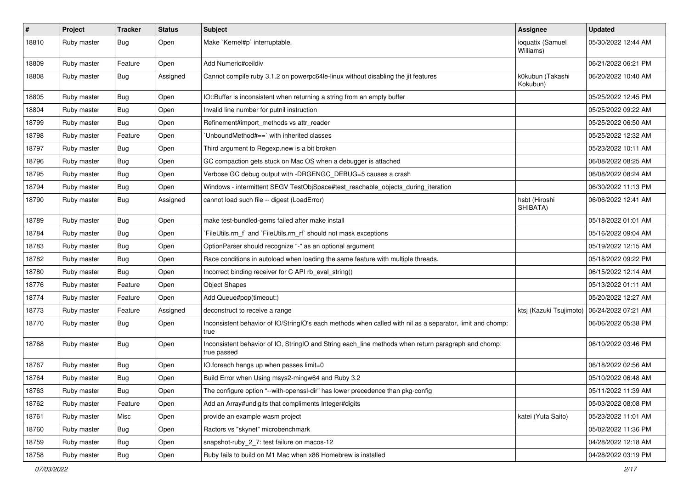| $\pmb{\#}$ | Project     | <b>Tracker</b> | <b>Status</b> | Subject                                                                                                            | Assignee                                      | <b>Updated</b>      |
|------------|-------------|----------------|---------------|--------------------------------------------------------------------------------------------------------------------|-----------------------------------------------|---------------------|
| 18810      | Ruby master | Bug            | Open          | Make `Kernel#p` interruptable.                                                                                     | ioquatix (Samuel<br>Williams)                 | 05/30/2022 12:44 AM |
| 18809      | Ruby master | Feature        | Open          | Add Numeric#ceildiv                                                                                                |                                               | 06/21/2022 06:21 PM |
| 18808      | Ruby master | Bug            | Assigned      | Cannot compile ruby 3.1.2 on powerpc64le-linux without disabling the jit features                                  | k0kubun (Takashi<br>Kokubun)                  | 06/20/2022 10:40 AM |
| 18805      | Ruby master | Bug            | Open          | IO::Buffer is inconsistent when returning a string from an empty buffer                                            |                                               | 05/25/2022 12:45 PM |
| 18804      | Ruby master | Bug            | Open          | Invalid line number for putnil instruction                                                                         |                                               | 05/25/2022 09:22 AM |
| 18799      | Ruby master | <b>Bug</b>     | Open          | Refinement#import_methods vs attr_reader                                                                           |                                               | 05/25/2022 06:50 AM |
| 18798      | Ruby master | Feature        | Open          | 'UnboundMethod#==' with inherited classes                                                                          |                                               | 05/25/2022 12:32 AM |
| 18797      | Ruby master | Bug            | Open          | Third argument to Regexp.new is a bit broken                                                                       |                                               | 05/23/2022 10:11 AM |
| 18796      | Ruby master | Bug            | Open          | GC compaction gets stuck on Mac OS when a debugger is attached                                                     |                                               | 06/08/2022 08:25 AM |
| 18795      | Ruby master | <b>Bug</b>     | Open          | Verbose GC debug output with -DRGENGC_DEBUG=5 causes a crash                                                       |                                               | 06/08/2022 08:24 AM |
| 18794      | Ruby master | <b>Bug</b>     | Open          | Windows - intermittent SEGV TestObjSpace#test_reachable_objects_during_iteration                                   |                                               | 06/30/2022 11:13 PM |
| 18790      | Ruby master | <b>Bug</b>     | Assigned      | cannot load such file -- digest (LoadError)                                                                        | hsbt (Hiroshi<br>SHIBATA)                     | 06/06/2022 12:41 AM |
| 18789      | Ruby master | <b>Bug</b>     | Open          | make test-bundled-gems failed after make install                                                                   |                                               | 05/18/2022 01:01 AM |
| 18784      | Ruby master | <b>Bug</b>     | Open          | `FileUtils.rm_f` and `FileUtils.rm_rf` should not mask exceptions                                                  |                                               | 05/16/2022 09:04 AM |
| 18783      | Ruby master | <b>Bug</b>     | Open          | OptionParser should recognize "-" as an optional argument                                                          |                                               | 05/19/2022 12:15 AM |
| 18782      | Ruby master | <b>Bug</b>     | Open          | Race conditions in autoload when loading the same feature with multiple threads.                                   |                                               | 05/18/2022 09:22 PM |
| 18780      | Ruby master | <b>Bug</b>     | Open          | Incorrect binding receiver for C API rb_eval_string()                                                              |                                               | 06/15/2022 12:14 AM |
| 18776      | Ruby master | Feature        | Open          | <b>Object Shapes</b>                                                                                               |                                               | 05/13/2022 01:11 AM |
| 18774      | Ruby master | Feature        | Open          | Add Queue#pop(timeout:)                                                                                            |                                               | 05/20/2022 12:27 AM |
| 18773      | Ruby master | Feature        | Assigned      | deconstruct to receive a range                                                                                     | ktsj (Kazuki Tsujimoto)   06/24/2022 07:21 AM |                     |
| 18770      | Ruby master | Bug            | Open          | Inconsistent behavior of IO/StringIO's each methods when called with nil as a separator, limit and chomp:<br>true  |                                               | 06/06/2022 05:38 PM |
| 18768      | Ruby master | <b>Bug</b>     | Open          | Inconsistent behavior of IO, StringIO and String each_line methods when return paragraph and chomp:<br>true passed |                                               | 06/10/2022 03:46 PM |
| 18767      | Ruby master | <b>Bug</b>     | Open          | IO.foreach hangs up when passes limit=0                                                                            |                                               | 06/18/2022 02:56 AM |
| 18764      | Ruby master | <b>Bug</b>     | Open          | Build Error when Using msys2-mingw64 and Ruby 3.2                                                                  |                                               | 05/10/2022 06:48 AM |
| 18763      | Ruby master | Bug            | Open          | The configure option "--with-openssI-dir" has lower precedence than pkg-config                                     |                                               | 05/11/2022 11:39 AM |
| 18762      | Ruby master | Feature        | Open          | Add an Array#undigits that compliments Integer#digits                                                              |                                               | 05/03/2022 08:08 PM |
| 18761      | Ruby master | Misc           | Open          | provide an example wasm project                                                                                    | katei (Yuta Saito)                            | 05/23/2022 11:01 AM |
| 18760      | Ruby master | <b>Bug</b>     | Open          | Ractors vs "skynet" microbenchmark                                                                                 |                                               | 05/02/2022 11:36 PM |
| 18759      | Ruby master | <b>Bug</b>     | Open          | snapshot-ruby 2 7: test failure on macos-12                                                                        |                                               | 04/28/2022 12:18 AM |
| 18758      | Ruby master | <b>Bug</b>     | Open          | Ruby fails to build on M1 Mac when x86 Homebrew is installed                                                       |                                               | 04/28/2022 03:19 PM |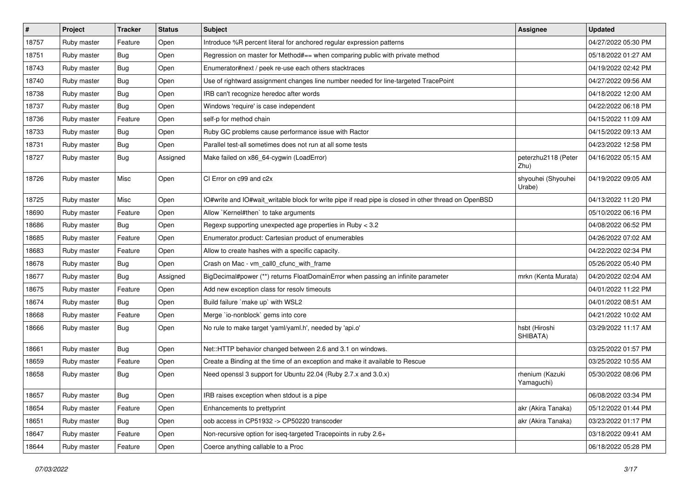| $\vert$ # | Project     | <b>Tracker</b> | <b>Status</b> | Subject                                                                                              | <b>Assignee</b>               | <b>Updated</b>      |
|-----------|-------------|----------------|---------------|------------------------------------------------------------------------------------------------------|-------------------------------|---------------------|
| 18757     | Ruby master | Feature        | Open          | Introduce %R percent literal for anchored regular expression patterns                                |                               | 04/27/2022 05:30 PM |
| 18751     | Ruby master | <b>Bug</b>     | Open          | Regression on master for Method#== when comparing public with private method                         |                               | 05/18/2022 01:27 AM |
| 18743     | Ruby master | <b>Bug</b>     | Open          | Enumerator#next / peek re-use each others stacktraces                                                |                               | 04/19/2022 02:42 PM |
| 18740     | Ruby master | <b>Bug</b>     | Open          | Use of rightward assignment changes line number needed for line-targeted TracePoint                  |                               | 04/27/2022 09:56 AM |
| 18738     | Ruby master | Bug            | Open          | IRB can't recognize heredoc after words                                                              |                               | 04/18/2022 12:00 AM |
| 18737     | Ruby master | Bug            | Open          | Windows 'require' is case independent                                                                |                               | 04/22/2022 06:18 PM |
| 18736     | Ruby master | Feature        | Open          | self-p for method chain                                                                              |                               | 04/15/2022 11:09 AM |
| 18733     | Ruby master | Bug            | Open          | Ruby GC problems cause performance issue with Ractor                                                 |                               | 04/15/2022 09:13 AM |
| 18731     | Ruby master | <b>Bug</b>     | Open          | Parallel test-all sometimes does not run at all some tests                                           |                               | 04/23/2022 12:58 PM |
| 18727     | Ruby master | <b>Bug</b>     | Assigned      | Make failed on x86_64-cygwin (LoadError)                                                             | peterzhu2118 (Peter<br>Zhu)   | 04/16/2022 05:15 AM |
| 18726     | Ruby master | Misc           | Open          | CI Error on c99 and c2x                                                                              | shyouhei (Shyouhei<br>Urabe)  | 04/19/2022 09:05 AM |
| 18725     | Ruby master | Misc           | Open          | IO#write and IO#wait_writable block for write pipe if read pipe is closed in other thread on OpenBSD |                               | 04/13/2022 11:20 PM |
| 18690     | Ruby master | Feature        | Open          | Allow `Kernel#then` to take arguments                                                                |                               | 05/10/2022 06:16 PM |
| 18686     | Ruby master | <b>Bug</b>     | Open          | Regexp supporting unexpected age properties in Ruby < 3.2                                            |                               | 04/08/2022 06:52 PM |
| 18685     | Ruby master | Feature        | Open          | Enumerator.product: Cartesian product of enumerables                                                 |                               | 04/26/2022 07:02 AM |
| 18683     | Ruby master | Feature        | Open          | Allow to create hashes with a specific capacity.                                                     |                               | 04/22/2022 02:34 PM |
| 18678     | Ruby master | <b>Bug</b>     | Open          | Crash on Mac - vm_call0_cfunc_with_frame                                                             |                               | 05/26/2022 05:40 PM |
| 18677     | Ruby master | <b>Bug</b>     | Assigned      | BigDecimal#power (**) returns FloatDomainError when passing an infinite parameter                    | mrkn (Kenta Murata)           | 04/20/2022 02:04 AM |
| 18675     | Ruby master | Feature        | Open          | Add new exception class for resolv timeouts                                                          |                               | 04/01/2022 11:22 PM |
| 18674     | Ruby master | Bug            | Open          | Build failure `make up` with WSL2                                                                    |                               | 04/01/2022 08:51 AM |
| 18668     | Ruby master | Feature        | Open          | Merge `io-nonblock` gems into core                                                                   |                               | 04/21/2022 10:02 AM |
| 18666     | Ruby master | <b>Bug</b>     | Open          | No rule to make target 'yaml/yaml.h', needed by 'api.o'                                              | hsbt (Hiroshi<br>SHIBATA)     | 03/29/2022 11:17 AM |
| 18661     | Ruby master | Bug            | Open          | Net::HTTP behavior changed between 2.6 and 3.1 on windows.                                           |                               | 03/25/2022 01:57 PM |
| 18659     | Ruby master | Feature        | Open          | Create a Binding at the time of an exception and make it available to Rescue                         |                               | 03/25/2022 10:55 AM |
| 18658     | Ruby master | <b>Bug</b>     | Open          | Need openssl 3 support for Ubuntu 22.04 (Ruby 2.7.x and 3.0.x)                                       | rhenium (Kazuki<br>Yamaguchi) | 05/30/2022 08:06 PM |
| 18657     | Ruby master | <b>Bug</b>     | Open          | IRB raises exception when stdout is a pipe                                                           |                               | 06/08/2022 03:34 PM |
| 18654     | Ruby master | Feature        | Open          | Enhancements to prettyprint                                                                          | akr (Akira Tanaka)            | 05/12/2022 01:44 PM |
| 18651     | Ruby master | Bug            | Open          | oob access in CP51932 -> CP50220 transcoder                                                          | akr (Akira Tanaka)            | 03/23/2022 01:17 PM |
| 18647     | Ruby master | Feature        | Open          | Non-recursive option for iseq-targeted Tracepoints in ruby 2.6+                                      |                               | 03/18/2022 09:41 AM |
| 18644     | Ruby master | Feature        | Open          | Coerce anything callable to a Proc                                                                   |                               | 06/18/2022 05:28 PM |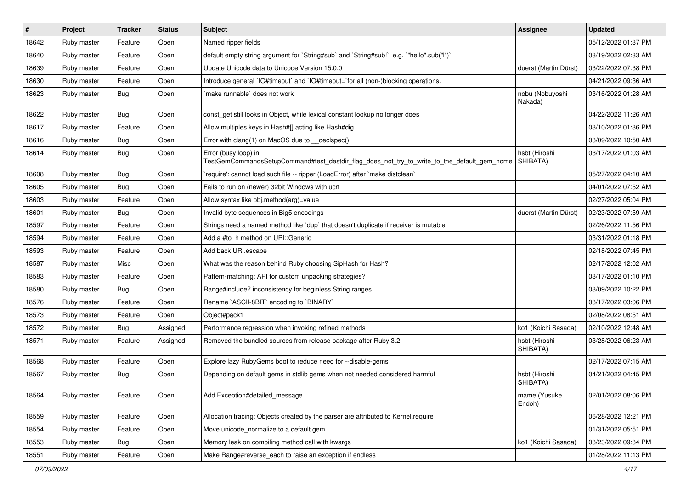| $\vert$ # | Project     | <b>Tracker</b> | <b>Status</b> | Subject                                                                                                             | <b>Assignee</b>            | <b>Updated</b>      |
|-----------|-------------|----------------|---------------|---------------------------------------------------------------------------------------------------------------------|----------------------------|---------------------|
| 18642     | Ruby master | Feature        | Open          | Named ripper fields                                                                                                 |                            | 05/12/2022 01:37 PM |
| 18640     | Ruby master | Feature        | Open          | default empty string argument for `String#sub` and `String#sub!`, e.g. `"hello".sub("I")`                           |                            | 03/19/2022 02:33 AM |
| 18639     | Ruby master | Feature        | Open          | Update Unicode data to Unicode Version 15.0.0                                                                       | duerst (Martin Dürst)      | 03/22/2022 07:38 PM |
| 18630     | Ruby master | Feature        | Open          | Introduce general `IO#timeout` and `IO#timeout=`for all (non-)blocking operations.                                  |                            | 04/21/2022 09:36 AM |
| 18623     | Ruby master | Bug            | Open          | make runnable' does not work                                                                                        | nobu (Nobuyoshi<br>Nakada) | 03/16/2022 01:28 AM |
| 18622     | Ruby master | <b>Bug</b>     | Open          | const_get still looks in Object, while lexical constant lookup no longer does                                       |                            | 04/22/2022 11:26 AM |
| 18617     | Ruby master | Feature        | Open          | Allow multiples keys in Hash#[] acting like Hash#dig                                                                |                            | 03/10/2022 01:36 PM |
| 18616     | Ruby master | Bug            | Open          | Error with clang(1) on MacOS due to __declspec()                                                                    |                            | 03/09/2022 10:50 AM |
| 18614     | Ruby master | <b>Bug</b>     | Open          | Error (busy loop) in<br>TestGemCommandsSetupCommand#test_destdir_flag_does_not_try_to_write_to_the_default_gem_home | hsbt (Hiroshi<br>SHIBATA)  | 03/17/2022 01:03 AM |
| 18608     | Ruby master | <b>Bug</b>     | Open          | 'require': cannot load such file -- ripper (LoadError) after 'make distclean'                                       |                            | 05/27/2022 04:10 AM |
| 18605     | Ruby master | <b>Bug</b>     | Open          | Fails to run on (newer) 32bit Windows with ucrt                                                                     |                            | 04/01/2022 07:52 AM |
| 18603     | Ruby master | Feature        | Open          | Allow syntax like obj.method(arg)=value                                                                             |                            | 02/27/2022 05:04 PM |
| 18601     | Ruby master | Bug            | Open          | Invalid byte sequences in Big5 encodings                                                                            | duerst (Martin Dürst)      | 02/23/2022 07:59 AM |
| 18597     | Ruby master | Feature        | Open          | Strings need a named method like 'dup' that doesn't duplicate if receiver is mutable                                |                            | 02/26/2022 11:56 PM |
| 18594     | Ruby master | Feature        | Open          | Add a #to_h method on URI::Generic                                                                                  |                            | 03/31/2022 01:18 PM |
| 18593     | Ruby master | Feature        | Open          | Add back URI.escape                                                                                                 |                            | 02/18/2022 07:45 PM |
| 18587     | Ruby master | Misc           | Open          | What was the reason behind Ruby choosing SipHash for Hash?                                                          |                            | 02/17/2022 12:02 AM |
| 18583     | Ruby master | Feature        | Open          | Pattern-matching: API for custom unpacking strategies?                                                              |                            | 03/17/2022 01:10 PM |
| 18580     | Ruby master | <b>Bug</b>     | Open          | Range#include? inconsistency for beginless String ranges                                                            |                            | 03/09/2022 10:22 PM |
| 18576     | Ruby master | Feature        | Open          | Rename `ASCII-8BIT` encoding to `BINARY`                                                                            |                            | 03/17/2022 03:06 PM |
| 18573     | Ruby master | Feature        | Open          | Object#pack1                                                                                                        |                            | 02/08/2022 08:51 AM |
| 18572     | Ruby master | <b>Bug</b>     | Assigned      | Performance regression when invoking refined methods                                                                | ko1 (Koichi Sasada)        | 02/10/2022 12:48 AM |
| 18571     | Ruby master | Feature        | Assigned      | Removed the bundled sources from release package after Ruby 3.2                                                     | hsbt (Hiroshi<br>SHIBATA)  | 03/28/2022 06:23 AM |
| 18568     | Ruby master | Feature        | Open          | Explore lazy RubyGems boot to reduce need for --disable-gems                                                        |                            | 02/17/2022 07:15 AM |
| 18567     | Ruby master | Bug            | Open          | Depending on default gems in stdlib gems when not needed considered harmful                                         | hsbt (Hiroshi<br>SHIBATA)  | 04/21/2022 04:45 PM |
| 18564     | Ruby master | Feature        | Open          | Add Exception#detailed_message                                                                                      | mame (Yusuke<br>Endoh)     | 02/01/2022 08:06 PM |
| 18559     | Ruby master | Feature        | Open          | Allocation tracing: Objects created by the parser are attributed to Kernel.require                                  |                            | 06/28/2022 12:21 PM |
| 18554     | Ruby master | Feature        | Open          | Move unicode_normalize to a default gem                                                                             |                            | 01/31/2022 05:51 PM |
| 18553     | Ruby master | Bug            | Open          | Memory leak on compiling method call with kwargs                                                                    | ko1 (Koichi Sasada)        | 03/23/2022 09:34 PM |
| 18551     | Ruby master | Feature        | Open          | Make Range#reverse_each to raise an exception if endless                                                            |                            | 01/28/2022 11:13 PM |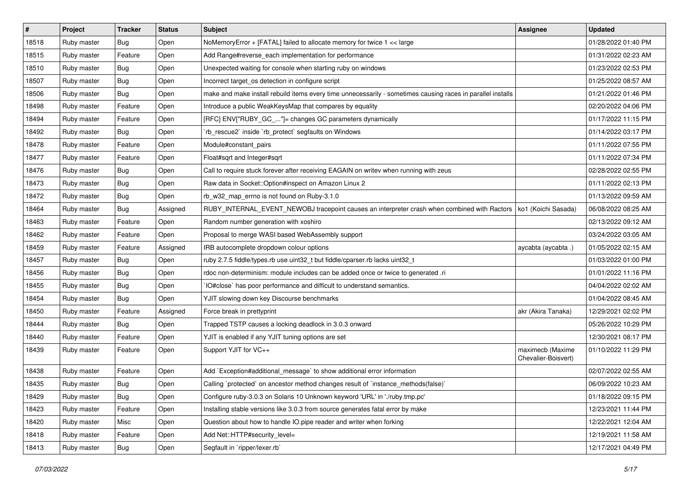| $\sharp$ | Project     | <b>Tracker</b> | <b>Status</b> | Subject                                                                                                     | <b>Assignee</b>                         | <b>Updated</b>      |
|----------|-------------|----------------|---------------|-------------------------------------------------------------------------------------------------------------|-----------------------------------------|---------------------|
| 18518    | Ruby master | Bug            | Open          | NoMemoryError + [FATAL] failed to allocate memory for twice 1 << large                                      |                                         | 01/28/2022 01:40 PM |
| 18515    | Ruby master | Feature        | Open          | Add Range#reverse_each implementation for performance                                                       |                                         | 01/31/2022 02:23 AM |
| 18510    | Ruby master | <b>Bug</b>     | Open          | Unexpected waiting for console when starting ruby on windows                                                |                                         | 01/23/2022 02:53 PM |
| 18507    | Ruby master | <b>Bug</b>     | Open          | Incorrect target_os detection in configure script                                                           |                                         | 01/25/2022 08:57 AM |
| 18506    | Ruby master | <b>Bug</b>     | Open          | make and make install rebuild items every time unnecessarily - sometimes causing races in parallel installs |                                         | 01/21/2022 01:46 PM |
| 18498    | Ruby master | Feature        | Open          | Introduce a public WeakKeysMap that compares by equality                                                    |                                         | 02/20/2022 04:06 PM |
| 18494    | Ruby master | Feature        | Open          | [RFC] ENV["RUBY_GC_"]= changes GC parameters dynamically                                                    |                                         | 01/17/2022 11:15 PM |
| 18492    | Ruby master | Bug            | Open          | 'rb_rescue2' inside 'rb_protect' segfaults on Windows                                                       |                                         | 01/14/2022 03:17 PM |
| 18478    | Ruby master | Feature        | Open          | Module#constant_pairs                                                                                       |                                         | 01/11/2022 07:55 PM |
| 18477    | Ruby master | Feature        | Open          | Float#sqrt and Integer#sqrt                                                                                 |                                         | 01/11/2022 07:34 PM |
| 18476    | Ruby master | Bug            | Open          | Call to require stuck forever after receiving EAGAIN on writev when running with zeus                       |                                         | 02/28/2022 02:55 PM |
| 18473    | Ruby master | Bug            | Open          | Raw data in Socket::Option#inspect on Amazon Linux 2                                                        |                                         | 01/11/2022 02:13 PM |
| 18472    | Ruby master | Bug            | Open          | rb_w32_map_errno is not found on Ruby-3.1.0                                                                 |                                         | 01/13/2022 09:59 AM |
| 18464    | Ruby master | Bug            | Assigned      | RUBY_INTERNAL_EVENT_NEWOBJ tracepoint causes an interpreter crash when combined with Ractors                | ko1 (Koichi Sasada)                     | 06/08/2022 08:25 AM |
| 18463    | Ruby master | Feature        | Open          | Random number generation with xoshiro                                                                       |                                         | 02/13/2022 09:12 AM |
| 18462    | Ruby master | Feature        | Open          | Proposal to merge WASI based WebAssembly support                                                            |                                         | 03/24/2022 03:05 AM |
| 18459    | Ruby master | Feature        | Assigned      | IRB autocomplete dropdown colour options                                                                    | aycabta (aycabta.)                      | 01/05/2022 02:15 AM |
| 18457    | Ruby master | <b>Bug</b>     | Open          | ruby 2.7.5 fiddle/types.rb use uint32_t but fiddle/cparser.rb lacks uint32_t                                |                                         | 01/03/2022 01:00 PM |
| 18456    | Ruby master | Bug            | Open          | rdoc non-determinism: module includes can be added once or twice to generated .ri                           |                                         | 01/01/2022 11:16 PM |
| 18455    | Ruby master | <b>Bug</b>     | Open          | IO#close` has poor performance and difficult to understand semantics.                                       |                                         | 04/04/2022 02:02 AM |
| 18454    | Ruby master | <b>Bug</b>     | Open          | YJIT slowing down key Discourse benchmarks                                                                  |                                         | 01/04/2022 08:45 AM |
| 18450    | Ruby master | Feature        | Assigned      | Force break in prettyprint                                                                                  | akr (Akira Tanaka)                      | 12/29/2021 02:02 PM |
| 18444    | Ruby master | <b>Bug</b>     | Open          | Trapped TSTP causes a locking deadlock in 3.0.3 onward                                                      |                                         | 05/26/2022 10:29 PM |
| 18440    | Ruby master | Feature        | Open          | YJIT is enabled if any YJIT tuning options are set                                                          |                                         | 12/30/2021 08:17 PM |
| 18439    | Ruby master | Feature        | Open          | Support YJIT for VC++                                                                                       | maximecb (Maxime<br>Chevalier-Boisvert) | 01/10/2022 11:29 PM |
| 18438    | Ruby master | Feature        | Open          | Add `Exception#additional_message` to show additional error information                                     |                                         | 02/07/2022 02:55 AM |
| 18435    | Ruby master | <b>Bug</b>     | Open          | Calling `protected` on ancestor method changes result of `instance_methods(false)`                          |                                         | 06/09/2022 10:23 AM |
| 18429    | Ruby master | Bug            | Open          | Configure ruby-3.0.3 on Solaris 10 Unknown keyword 'URL' in './ruby.tmp.pc'                                 |                                         | 01/18/2022 09:15 PM |
| 18423    | Ruby master | Feature        | Open          | Installing stable versions like 3.0.3 from source generates fatal error by make                             |                                         | 12/23/2021 11:44 PM |
| 18420    | Ruby master | Misc           | Open          | Question about how to handle IO.pipe reader and writer when forking                                         |                                         | 12/22/2021 12:04 AM |
| 18418    | Ruby master | Feature        | Open          | Add Net::HTTP#security level=                                                                               |                                         | 12/19/2021 11:58 AM |
| 18413    | Ruby master | Bug            | Open          | Segfault in `ripper/lexer.rb`                                                                               |                                         | 12/17/2021 04:49 PM |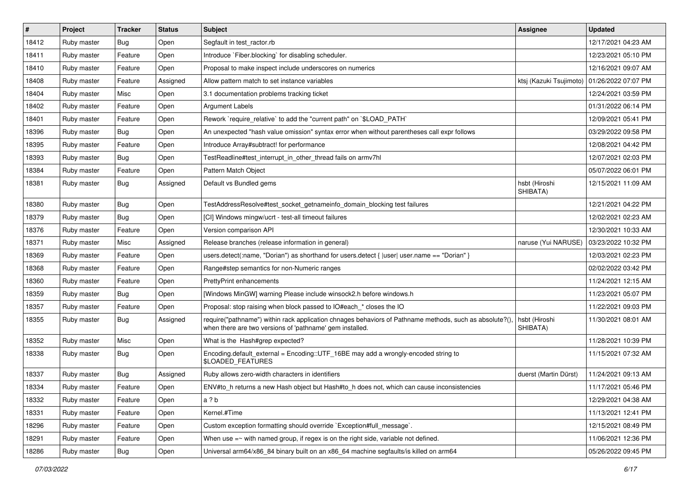| #     | Project     | <b>Tracker</b> | <b>Status</b> | <b>Subject</b>                                                                                                                                                      | Assignee                                      | <b>Updated</b>      |
|-------|-------------|----------------|---------------|---------------------------------------------------------------------------------------------------------------------------------------------------------------------|-----------------------------------------------|---------------------|
| 18412 | Ruby master | Bug            | Open          | Segfault in test_ractor.rb                                                                                                                                          |                                               | 12/17/2021 04:23 AM |
| 18411 | Ruby master | Feature        | Open          | Introduce `Fiber.blocking` for disabling scheduler.                                                                                                                 |                                               | 12/23/2021 05:10 PM |
| 18410 | Ruby master | Feature        | Open          | Proposal to make inspect include underscores on numerics                                                                                                            |                                               | 12/16/2021 09:07 AM |
| 18408 | Ruby master | Feature        | Assigned      | Allow pattern match to set instance variables                                                                                                                       | ktsj (Kazuki Tsujimoto)   01/26/2022 07:07 PM |                     |
| 18404 | Ruby master | Misc           | Open          | 3.1 documentation problems tracking ticket                                                                                                                          |                                               | 12/24/2021 03:59 PM |
| 18402 | Ruby master | Feature        | Open          | <b>Argument Labels</b>                                                                                                                                              |                                               | 01/31/2022 06:14 PM |
| 18401 | Ruby master | Feature        | Open          | Rework `require_relative` to add the "current path" on `\$LOAD_PATH`                                                                                                |                                               | 12/09/2021 05:41 PM |
| 18396 | Ruby master | <b>Bug</b>     | Open          | An unexpected "hash value omission" syntax error when without parentheses call expr follows                                                                         |                                               | 03/29/2022 09:58 PM |
| 18395 | Ruby master | Feature        | Open          | Introduce Array#subtract! for performance                                                                                                                           |                                               | 12/08/2021 04:42 PM |
| 18393 | Ruby master | <b>Bug</b>     | Open          | TestReadline#test_interrupt_in_other_thread fails on armv7hl                                                                                                        |                                               | 12/07/2021 02:03 PM |
| 18384 | Ruby master | Feature        | Open          | Pattern Match Object                                                                                                                                                |                                               | 05/07/2022 06:01 PM |
| 18381 | Ruby master | Bug            | Assigned      | Default vs Bundled gems                                                                                                                                             | hsbt (Hiroshi<br>SHIBATA)                     | 12/15/2021 11:09 AM |
| 18380 | Ruby master | Bug            | Open          | TestAddressResolve#test_socket_getnameinfo_domain_blocking test failures                                                                                            |                                               | 12/21/2021 04:22 PM |
| 18379 | Ruby master | <b>Bug</b>     | Open          | [CI] Windows mingw/ucrt - test-all timeout failures                                                                                                                 |                                               | 12/02/2021 02:23 AM |
| 18376 | Ruby master | Feature        | Open          | Version comparison API                                                                                                                                              |                                               | 12/30/2021 10:33 AM |
| 18371 | Ruby master | Misc           | Assigned      | Release branches (release information in general)                                                                                                                   | naruse (Yui NARUSE)                           | 03/23/2022 10:32 PM |
| 18369 | Ruby master | Feature        | Open          | users.detect(:name, "Dorian") as shorthand for users.detect {  user  user.name == "Dorian" }                                                                        |                                               | 12/03/2021 02:23 PM |
| 18368 | Ruby master | Feature        | Open          | Range#step semantics for non-Numeric ranges                                                                                                                         |                                               | 02/02/2022 03:42 PM |
| 18360 | Ruby master | Feature        | Open          | <b>PrettyPrint enhancements</b>                                                                                                                                     |                                               | 11/24/2021 12:15 AM |
| 18359 | Ruby master | <b>Bug</b>     | Open          | [Windows MinGW] warning Please include winsock2.h before windows.h                                                                                                  |                                               | 11/23/2021 05:07 PM |
| 18357 | Ruby master | Feature        | Open          | Proposal: stop raising when block passed to IO#each_* closes the IO                                                                                                 |                                               | 11/22/2021 09:03 PM |
| 18355 | Ruby master | <b>Bug</b>     | Assigned      | require("pathname") within rack application chnages behaviors of Pathname methods, such as absolute?(),<br>when there are two versions of 'pathname' gem installed. | hsbt (Hiroshi<br>SHIBATA)                     | 11/30/2021 08:01 AM |
| 18352 | Ruby master | Misc           | Open          | What is the Hash#grep expected?                                                                                                                                     |                                               | 11/28/2021 10:39 PM |
| 18338 | Ruby master | <b>Bug</b>     | Open          | Encoding.default_external = Encoding::UTF_16BE may add a wrongly-encoded string to<br>\$LOADED_FEATURES                                                             |                                               | 11/15/2021 07:32 AM |
| 18337 | Ruby master | <b>Bug</b>     | Assigned      | Ruby allows zero-width characters in identifiers                                                                                                                    | duerst (Martin Dürst)                         | 11/24/2021 09:13 AM |
| 18334 | Ruby master | Feature        | Open          | ENV#to_h returns a new Hash object but Hash#to_h does not, which can cause inconsistencies                                                                          |                                               | 11/17/2021 05:46 PM |
| 18332 | Ruby master | Feature        | Open          | a ? b                                                                                                                                                               |                                               | 12/29/2021 04:38 AM |
| 18331 | Ruby master | Feature        | Open          | Kernel.#Time                                                                                                                                                        |                                               | 11/13/2021 12:41 PM |
| 18296 | Ruby master | Feature        | Open          | Custom exception formatting should override `Exception#full_message`.                                                                                               |                                               | 12/15/2021 08:49 PM |
| 18291 | Ruby master | Feature        | Open          | When use $=\sim$ with named group, if regex is on the right side, variable not defined.                                                                             |                                               | 11/06/2021 12:36 PM |
| 18286 | Ruby master | Bug            | Open          | Universal arm64/x86_84 binary built on an x86_64 machine segfaults/is killed on arm64                                                                               |                                               | 05/26/2022 09:45 PM |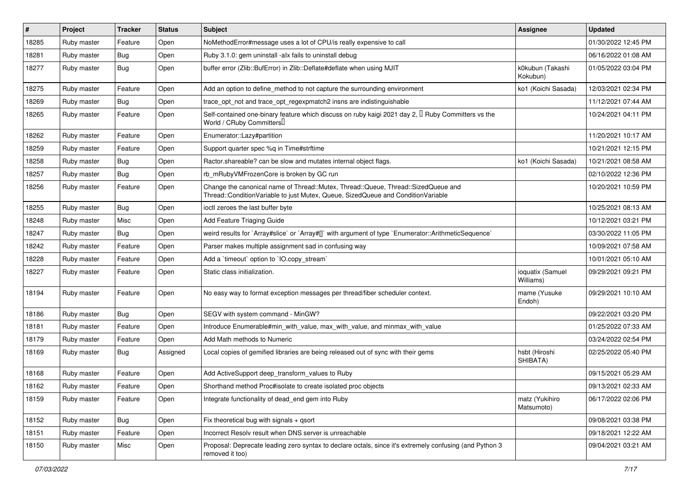| $\vert$ # | Project     | <b>Tracker</b> | <b>Status</b> | Subject                                                                                                                                                               | <b>Assignee</b>               | <b>Updated</b>      |
|-----------|-------------|----------------|---------------|-----------------------------------------------------------------------------------------------------------------------------------------------------------------------|-------------------------------|---------------------|
| 18285     | Ruby master | Feature        | Open          | NoMethodError#message uses a lot of CPU/is really expensive to call                                                                                                   |                               | 01/30/2022 12:45 PM |
| 18281     | Ruby master | <b>Bug</b>     | Open          | Ruby 3.1.0: gem uninstall -alx fails to uninstall debug                                                                                                               |                               | 06/16/2022 01:08 AM |
| 18277     | Ruby master | Bug            | Open          | buffer error (Zlib::BufError) in Zlib::Deflate#deflate when using MJIT                                                                                                | k0kubun (Takashi<br>Kokubun)  | 01/05/2022 03:04 PM |
| 18275     | Ruby master | Feature        | Open          | Add an option to define_method to not capture the surrounding environment                                                                                             | ko1 (Koichi Sasada)           | 12/03/2021 02:34 PM |
| 18269     | Ruby master | <b>Bug</b>     | Open          | trace_opt_not and trace_opt_regexpmatch2 insns are indistinguishable                                                                                                  |                               | 11/12/2021 07:44 AM |
| 18265     | Ruby master | Feature        | Open          | Self-contained one-binary feature which discuss on ruby kaigi 2021 day 2, $\Box$ Ruby Committers vs the<br>World / CRuby Committers                                   |                               | 10/24/2021 04:11 PM |
| 18262     | Ruby master | Feature        | Open          | Enumerator::Lazy#partition                                                                                                                                            |                               | 11/20/2021 10:17 AM |
| 18259     | Ruby master | Feature        | Open          | Support quarter spec %q in Time#strftime                                                                                                                              |                               | 10/21/2021 12:15 PM |
| 18258     | Ruby master | <b>Bug</b>     | Open          | Ractor shareable? can be slow and mutates internal object flags.                                                                                                      | ko1 (Koichi Sasada)           | 10/21/2021 08:58 AM |
| 18257     | Ruby master | Bug            | Open          | rb_mRubyVMFrozenCore is broken by GC run                                                                                                                              |                               | 02/10/2022 12:36 PM |
| 18256     | Ruby master | Feature        | Open          | Change the canonical name of Thread::Mutex, Thread::Queue, Thread::SizedQueue and<br>Thread::ConditionVariable to just Mutex, Queue, SizedQueue and ConditionVariable |                               | 10/20/2021 10:59 PM |
| 18255     | Ruby master | <b>Bug</b>     | Open          | ioctl zeroes the last buffer byte                                                                                                                                     |                               | 10/25/2021 08:13 AM |
| 18248     | Ruby master | Misc           | Open          | Add Feature Triaging Guide                                                                                                                                            |                               | 10/12/2021 03:21 PM |
| 18247     | Ruby master | <b>Bug</b>     | Open          | weird results for `Array#slice` or `Array#[]` with argument of type `Enumerator::ArithmeticSequence`                                                                  |                               | 03/30/2022 11:05 PM |
| 18242     | Ruby master | Feature        | Open          | Parser makes multiple assignment sad in confusing way                                                                                                                 |                               | 10/09/2021 07:58 AM |
| 18228     | Ruby master | Feature        | Open          | Add a 'timeout' option to 'IO.copy_stream'                                                                                                                            |                               | 10/01/2021 05:10 AM |
| 18227     | Ruby master | Feature        | Open          | Static class initialization.                                                                                                                                          | ioquatix (Samuel<br>Williams) | 09/29/2021 09:21 PM |
| 18194     | Ruby master | Feature        | Open          | No easy way to format exception messages per thread/fiber scheduler context.                                                                                          | mame (Yusuke<br>Endoh)        | 09/29/2021 10:10 AM |
| 18186     | Ruby master | Bug            | Open          | SEGV with system command - MinGW?                                                                                                                                     |                               | 09/22/2021 03:20 PM |
| 18181     | Ruby master | Feature        | Open          | Introduce Enumerable#min_with_value, max_with_value, and minmax_with_value                                                                                            |                               | 01/25/2022 07:33 AM |
| 18179     | Ruby master | Feature        | Open          | Add Math methods to Numeric                                                                                                                                           |                               | 03/24/2022 02:54 PM |
| 18169     | Ruby master | Bug            | Assigned      | Local copies of gemified libraries are being released out of sync with their gems                                                                                     | hsbt (Hiroshi<br>SHIBATA)     | 02/25/2022 05:40 PM |
| 18168     | Ruby master | Feature        | Open          | Add ActiveSupport deep_transform_values to Ruby                                                                                                                       |                               | 09/15/2021 05:29 AM |
| 18162     | Ruby master | Feature        | Open          | Shorthand method Proc#isolate to create isolated proc objects                                                                                                         |                               | 09/13/2021 02:33 AM |
| 18159     | Ruby master | Feature        | Open          | Integrate functionality of dead end gem into Ruby                                                                                                                     | matz (Yukihiro<br>Matsumoto)  | 06/17/2022 02:06 PM |
| 18152     | Ruby master | Bug            | Open          | Fix theoretical bug with signals + qsort                                                                                                                              |                               | 09/08/2021 03:38 PM |
| 18151     | Ruby master | Feature        | Open          | Incorrect Resolv result when DNS server is unreachable                                                                                                                |                               | 09/18/2021 12:22 AM |
| 18150     | Ruby master | Misc           | Open          | Proposal: Deprecate leading zero syntax to declare octals, since it's extremely confusing (and Python 3<br>removed it too)                                            |                               | 09/04/2021 03:21 AM |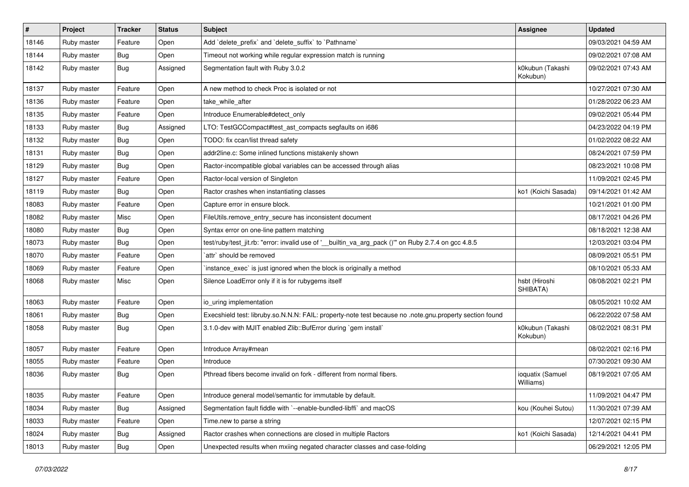| $\vert$ # | Project     | <b>Tracker</b> | <b>Status</b> | Subject                                                                                                 | <b>Assignee</b>               | <b>Updated</b>      |
|-----------|-------------|----------------|---------------|---------------------------------------------------------------------------------------------------------|-------------------------------|---------------------|
| 18146     | Ruby master | Feature        | Open          | Add 'delete_prefix' and 'delete_suffix' to 'Pathname'                                                   |                               | 09/03/2021 04:59 AM |
| 18144     | Ruby master | <b>Bug</b>     | Open          | Timeout not working while regular expression match is running                                           |                               | 09/02/2021 07:08 AM |
| 18142     | Ruby master | Bug            | Assigned      | Segmentation fault with Ruby 3.0.2                                                                      | k0kubun (Takashi<br>Kokubun)  | 09/02/2021 07:43 AM |
| 18137     | Ruby master | Feature        | Open          | A new method to check Proc is isolated or not                                                           |                               | 10/27/2021 07:30 AM |
| 18136     | Ruby master | Feature        | Open          | take_while_after                                                                                        |                               | 01/28/2022 06:23 AM |
| 18135     | Ruby master | Feature        | Open          | Introduce Enumerable#detect_only                                                                        |                               | 09/02/2021 05:44 PM |
| 18133     | Ruby master | <b>Bug</b>     | Assigned      | LTO: TestGCCompact#test_ast_compacts segfaults on i686                                                  |                               | 04/23/2022 04:19 PM |
| 18132     | Ruby master | <b>Bug</b>     | Open          | TODO: fix ccan/list thread safety                                                                       |                               | 01/02/2022 08:22 AM |
| 18131     | Ruby master | <b>Bug</b>     | Open          | addr2line.c: Some inlined functions mistakenly shown                                                    |                               | 08/24/2021 07:59 PM |
| 18129     | Ruby master | Bug            | Open          | Ractor-incompatible global variables can be accessed through alias                                      |                               | 08/23/2021 10:08 PM |
| 18127     | Ruby master | Feature        | Open          | Ractor-local version of Singleton                                                                       |                               | 11/09/2021 02:45 PM |
| 18119     | Ruby master | <b>Bug</b>     | Open          | Ractor crashes when instantiating classes                                                               | ko1 (Koichi Sasada)           | 09/14/2021 01:42 AM |
| 18083     | Ruby master | Feature        | Open          | Capture error in ensure block.                                                                          |                               | 10/21/2021 01:00 PM |
| 18082     | Ruby master | Misc           | Open          | FileUtils.remove_entry_secure has inconsistent document                                                 |                               | 08/17/2021 04:26 PM |
| 18080     | Ruby master | Bug            | Open          | Syntax error on one-line pattern matching                                                               |                               | 08/18/2021 12:38 AM |
| 18073     | Ruby master | <b>Bug</b>     | Open          | test/ruby/test_jit.rb: "error: invalid use of '__builtin_va_arg_pack ()"" on Ruby 2.7.4 on gcc 4.8.5    |                               | 12/03/2021 03:04 PM |
| 18070     | Ruby master | Feature        | Open          | `attr` should be removed                                                                                |                               | 08/09/2021 05:51 PM |
| 18069     | Ruby master | Feature        | Open          | instance_exec` is just ignored when the block is originally a method                                    |                               | 08/10/2021 05:33 AM |
| 18068     | Ruby master | Misc           | Open          | Silence LoadError only if it is for rubygems itself                                                     | hsbt (Hiroshi<br>SHIBATA)     | 08/08/2021 02:21 PM |
| 18063     | Ruby master | Feature        | Open          | io_uring implementation                                                                                 |                               | 08/05/2021 10:02 AM |
| 18061     | Ruby master | <b>Bug</b>     | Open          | Execshield test: libruby.so.N.N.N: FAIL: property-note test because no .note.gnu.property section found |                               | 06/22/2022 07:58 AM |
| 18058     | Ruby master | <b>Bug</b>     | Open          | 3.1.0-dev with MJIT enabled Zlib::BufError during `gem install`                                         | k0kubun (Takashi<br>Kokubun)  | 08/02/2021 08:31 PM |
| 18057     | Ruby master | Feature        | Open          | Introduce Array#mean                                                                                    |                               | 08/02/2021 02:16 PM |
| 18055     | Ruby master | Feature        | Open          | Introduce                                                                                               |                               | 07/30/2021 09:30 AM |
| 18036     | Ruby master | <b>Bug</b>     | Open          | Pthread fibers become invalid on fork - different from normal fibers.                                   | ioquatix (Samuel<br>Williams) | 08/19/2021 07:05 AM |
| 18035     | Ruby master | Feature        | Open          | Introduce general model/semantic for immutable by default.                                              |                               | 11/09/2021 04:47 PM |
| 18034     | Ruby master | <b>Bug</b>     | Assigned      | Segmentation fault fiddle with `--enable-bundled-libffi` and macOS                                      | kou (Kouhei Sutou)            | 11/30/2021 07:39 AM |
| 18033     | Ruby master | Feature        | Open          | Time.new to parse a string                                                                              |                               | 12/07/2021 02:15 PM |
| 18024     | Ruby master | <b>Bug</b>     | Assigned      | Ractor crashes when connections are closed in multiple Ractors                                          | ko1 (Koichi Sasada)           | 12/14/2021 04:41 PM |
| 18013     | Ruby master | <b>Bug</b>     | Open          | Unexpected results when mxiing negated character classes and case-folding                               |                               | 06/29/2021 12:05 PM |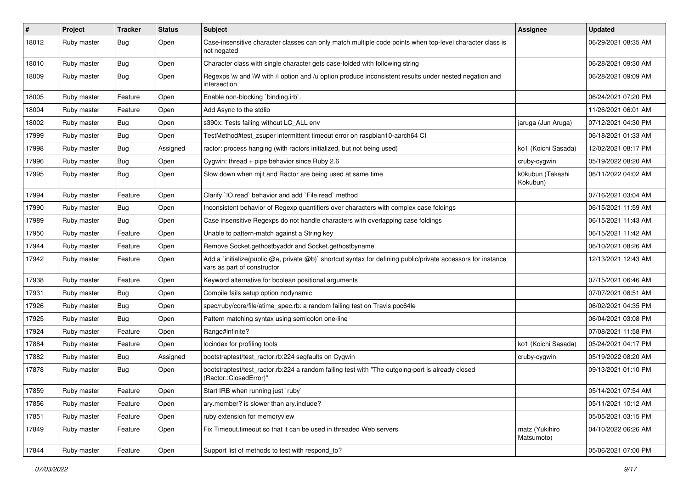| #     | Project     | <b>Tracker</b> | <b>Status</b> | <b>Subject</b>                                                                                                                              | <b>Assignee</b>              | <b>Updated</b>      |
|-------|-------------|----------------|---------------|---------------------------------------------------------------------------------------------------------------------------------------------|------------------------------|---------------------|
| 18012 | Ruby master | Bug            | Open          | Case-insensitive character classes can only match multiple code points when top-level character class is<br>not negated                     |                              | 06/29/2021 08:35 AM |
| 18010 | Ruby master | <b>Bug</b>     | Open          | Character class with single character gets case-folded with following string                                                                |                              | 06/28/2021 09:30 AM |
| 18009 | Ruby master | <b>Bug</b>     | Open          | Regexps \w and \W with /i option and /u option produce inconsistent results under nested negation and<br>intersection                       |                              | 06/28/2021 09:09 AM |
| 18005 | Ruby master | Feature        | Open          | Enable non-blocking `binding.irb`.                                                                                                          |                              | 06/24/2021 07:20 PM |
| 18004 | Ruby master | Feature        | Open          | Add Async to the stdlib                                                                                                                     |                              | 11/26/2021 06:01 AM |
| 18002 | Ruby master | <b>Bug</b>     | Open          | s390x: Tests failing without LC ALL env                                                                                                     | jaruga (Jun Aruga)           | 07/12/2021 04:30 PM |
| 17999 | Ruby master | <b>Bug</b>     | Open          | TestMethod#test zsuper intermittent timeout error on raspbian10-aarch64 CI                                                                  |                              | 06/18/2021 01:33 AM |
| 17998 | Ruby master | <b>Bug</b>     | Assigned      | ractor: process hanging (with ractors initialized, but not being used)                                                                      | ko1 (Koichi Sasada)          | 12/02/2021 08:17 PM |
| 17996 | Ruby master | <b>Bug</b>     | Open          | Cygwin: thread + pipe behavior since Ruby 2.6                                                                                               | cruby-cygwin                 | 05/19/2022 08:20 AM |
| 17995 | Ruby master | <b>Bug</b>     | Open          | Slow down when mjit and Ractor are being used at same time                                                                                  | k0kubun (Takashi<br>Kokubun) | 06/11/2022 04:02 AM |
| 17994 | Ruby master | Feature        | Open          | Clarify 'IO.read' behavior and add 'File.read' method                                                                                       |                              | 07/16/2021 03:04 AM |
| 17990 | Ruby master | <b>Bug</b>     | Open          | Inconsistent behavior of Regexp quantifiers over characters with complex case foldings                                                      |                              | 06/15/2021 11:59 AM |
| 17989 | Ruby master | Bug            | Open          | Case insensitive Regexps do not handle characters with overlapping case foldings                                                            |                              | 06/15/2021 11:43 AM |
| 17950 | Ruby master | Feature        | Open          | Unable to pattern-match against a String key                                                                                                |                              | 06/15/2021 11:42 AM |
| 17944 | Ruby master | Feature        | Open          | Remove Socket.gethostbyaddr and Socket.gethostbyname                                                                                        |                              | 06/10/2021 08:26 AM |
| 17942 | Ruby master | Feature        | Open          | Add a `initialize(public @a, private @b)` shortcut syntax for defining public/private accessors for instance<br>vars as part of constructor |                              | 12/13/2021 12:43 AM |
| 17938 | Ruby master | Feature        | Open          | Keyword alternative for boolean positional arguments                                                                                        |                              | 07/15/2021 06:46 AM |
| 17931 | Ruby master | <b>Bug</b>     | Open          | Compile fails setup option nodynamic                                                                                                        |                              | 07/07/2021 08:51 AM |
| 17926 | Ruby master | <b>Bug</b>     | Open          | spec/ruby/core/file/atime_spec.rb: a random failing test on Travis ppc64le                                                                  |                              | 06/02/2021 04:35 PM |
| 17925 | Ruby master | <b>Bug</b>     | Open          | Pattern matching syntax using semicolon one-line                                                                                            |                              | 06/04/2021 03:08 PM |
| 17924 | Ruby master | Feature        | Open          | Range#infinite?                                                                                                                             |                              | 07/08/2021 11:58 PM |
| 17884 | Ruby master | Feature        | Open          | locindex for profiling tools                                                                                                                | ko1 (Koichi Sasada)          | 05/24/2021 04:17 PM |
| 17882 | Ruby master | Bug            | Assigned      | bootstraptest/test_ractor.rb:224 segfaults on Cygwin                                                                                        | cruby-cygwin                 | 05/19/2022 08:20 AM |
| 17878 | Ruby master | Bug            | Open          | bootstraptest/test_ractor.rb:224 a random failing test with "The outgoing-port is already closed<br>(Ractor::ClosedError)"                  |                              | 09/13/2021 01:10 PM |
| 17859 | Ruby master | Feature        | Open          | Start IRB when running just `ruby`                                                                                                          |                              | 05/14/2021 07:54 AM |
| 17856 | Ruby master | Feature        | Open          | ary.member? is slower than ary.include?                                                                                                     |                              | 05/11/2021 10:12 AM |
| 17851 | Ruby master | Feature        | Open          | ruby extension for memoryview                                                                                                               |                              | 05/05/2021 03:15 PM |
| 17849 | Ruby master | Feature        | Open          | Fix Timeout.timeout so that it can be used in threaded Web servers                                                                          | matz (Yukihiro<br>Matsumoto) | 04/10/2022 06:26 AM |
| 17844 | Ruby master | Feature        | Open          | Support list of methods to test with respond_to?                                                                                            |                              | 05/06/2021 07:00 PM |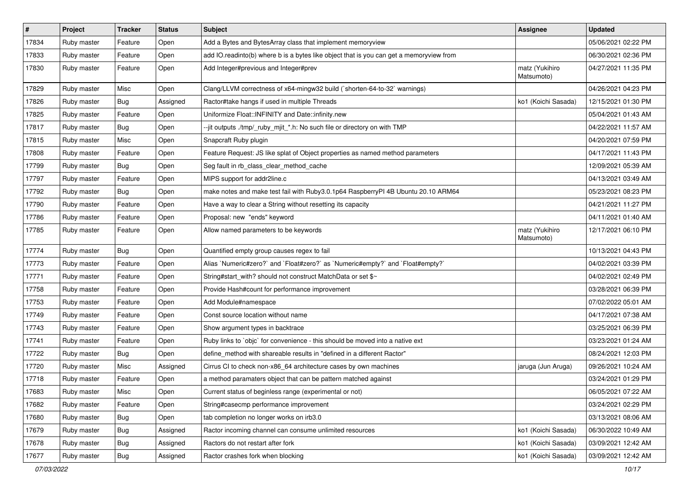| $\sharp$ | Project     | <b>Tracker</b> | <b>Status</b> | <b>Subject</b>                                                                          | Assignee                     | <b>Updated</b>      |
|----------|-------------|----------------|---------------|-----------------------------------------------------------------------------------------|------------------------------|---------------------|
| 17834    | Ruby master | Feature        | Open          | Add a Bytes and BytesArray class that implement memoryview                              |                              | 05/06/2021 02:22 PM |
| 17833    | Ruby master | Feature        | Open          | add IO.readinto(b) where b is a bytes like object that is you can get a memoryview from |                              | 06/30/2021 02:36 PM |
| 17830    | Ruby master | Feature        | Open          | Add Integer#previous and Integer#prev                                                   | matz (Yukihiro<br>Matsumoto) | 04/27/2021 11:35 PM |
| 17829    | Ruby master | Misc           | Open          | Clang/LLVM correctness of x64-mingw32 build (`shorten-64-to-32` warnings)               |                              | 04/26/2021 04:23 PM |
| 17826    | Ruby master | Bug            | Assigned      | Ractor#take hangs if used in multiple Threads                                           | ko1 (Koichi Sasada)          | 12/15/2021 01:30 PM |
| 17825    | Ruby master | Feature        | Open          | Uniformize Float::INFINITY and Date::infinity.new                                       |                              | 05/04/2021 01:43 AM |
| 17817    | Ruby master | <b>Bug</b>     | Open          | --jit outputs ./tmp/_ruby_mjit_*.h: No such file or directory on with TMP               |                              | 04/22/2021 11:57 AM |
| 17815    | Ruby master | Misc           | Open          | Snapcraft Ruby plugin                                                                   |                              | 04/20/2021 07:59 PM |
| 17808    | Ruby master | Feature        | Open          | Feature Request: JS like splat of Object properties as named method parameters          |                              | 04/17/2021 11:43 PM |
| 17799    | Ruby master | Bug            | Open          | Seg fault in rb_class_clear_method_cache                                                |                              | 12/09/2021 05:39 AM |
| 17797    | Ruby master | Feature        | Open          | MIPS support for addr2line.c                                                            |                              | 04/13/2021 03:49 AM |
| 17792    | Ruby master | Bug            | Open          | make notes and make test fail with Ruby3.0.1p64 RaspberryPI 4B Ubuntu 20.10 ARM64       |                              | 05/23/2021 08:23 PM |
| 17790    | Ruby master | Feature        | Open          | Have a way to clear a String without resetting its capacity                             |                              | 04/21/2021 11:27 PM |
| 17786    | Ruby master | Feature        | Open          | Proposal: new "ends" keyword                                                            |                              | 04/11/2021 01:40 AM |
| 17785    | Ruby master | Feature        | Open          | Allow named parameters to be keywords                                                   | matz (Yukihiro<br>Matsumoto) | 12/17/2021 06:10 PM |
| 17774    | Ruby master | <b>Bug</b>     | Open          | Quantified empty group causes regex to fail                                             |                              | 10/13/2021 04:43 PM |
| 17773    | Ruby master | Feature        | Open          | Alias `Numeric#zero?` and `Float#zero?` as `Numeric#empty?` and `Float#empty?`          |                              | 04/02/2021 03:39 PM |
| 17771    | Ruby master | Feature        | Open          | String#start_with? should not construct MatchData or set \$~                            |                              | 04/02/2021 02:49 PM |
| 17758    | Ruby master | Feature        | Open          | Provide Hash#count for performance improvement                                          |                              | 03/28/2021 06:39 PM |
| 17753    | Ruby master | Feature        | Open          | Add Module#namespace                                                                    |                              | 07/02/2022 05:01 AM |
| 17749    | Ruby master | Feature        | Open          | Const source location without name                                                      |                              | 04/17/2021 07:38 AM |
| 17743    | Ruby master | Feature        | Open          | Show argument types in backtrace                                                        |                              | 03/25/2021 06:39 PM |
| 17741    | Ruby master | Feature        | Open          | Ruby links to `objc` for convenience - this should be moved into a native ext           |                              | 03/23/2021 01:24 AM |
| 17722    | Ruby master | <b>Bug</b>     | Open          | define_method with shareable results in "defined in a different Ractor"                 |                              | 08/24/2021 12:03 PM |
| 17720    | Ruby master | Misc           | Assigned      | Cirrus CI to check non-x86_64 architecture cases by own machines                        | jaruga (Jun Aruga)           | 09/26/2021 10:24 AM |
| 17718    | Ruby master | Feature        | Open          | a method paramaters object that can be pattern matched against                          |                              | 03/24/2021 01:29 PM |
| 17683    | Ruby master | Misc           | Open          | Current status of beginless range (experimental or not)                                 |                              | 06/05/2021 07:22 AM |
| 17682    | Ruby master | Feature        | Open          | String#casecmp performance improvement                                                  |                              | 03/24/2021 02:29 PM |
| 17680    | Ruby master | Bug            | Open          | tab completion no longer works on irb3.0                                                |                              | 03/13/2021 08:06 AM |
| 17679    | Ruby master | <b>Bug</b>     | Assigned      | Ractor incoming channel can consume unlimited resources                                 | ko1 (Koichi Sasada)          | 06/30/2022 10:49 AM |
| 17678    | Ruby master | <b>Bug</b>     | Assigned      | Ractors do not restart after fork                                                       | ko1 (Koichi Sasada)          | 03/09/2021 12:42 AM |
| 17677    | Ruby master | <b>Bug</b>     | Assigned      | Ractor crashes fork when blocking                                                       | ko1 (Koichi Sasada)          | 03/09/2021 12:42 AM |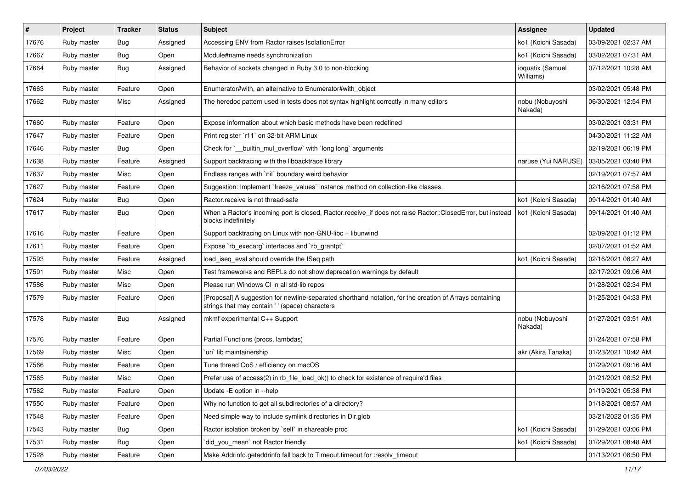| #     | Project     | <b>Tracker</b> | <b>Status</b> | <b>Subject</b>                                                                                                                                             | <b>Assignee</b>               | <b>Updated</b>      |
|-------|-------------|----------------|---------------|------------------------------------------------------------------------------------------------------------------------------------------------------------|-------------------------------|---------------------|
| 17676 | Ruby master | <b>Bug</b>     | Assigned      | Accessing ENV from Ractor raises IsolationError                                                                                                            | ko1 (Koichi Sasada)           | 03/09/2021 02:37 AM |
| 17667 | Ruby master | <b>Bug</b>     | Open          | Module#name needs synchronization                                                                                                                          | ko1 (Koichi Sasada)           | 03/02/2021 07:31 AM |
| 17664 | Ruby master | Bug            | Assigned      | Behavior of sockets changed in Ruby 3.0 to non-blocking                                                                                                    | ioquatix (Samuel<br>Williams) | 07/12/2021 10:28 AM |
| 17663 | Ruby master | Feature        | Open          | Enumerator#with, an alternative to Enumerator#with object                                                                                                  |                               | 03/02/2021 05:48 PM |
| 17662 | Ruby master | Misc           | Assigned      | The heredoc pattern used in tests does not syntax highlight correctly in many editors                                                                      | nobu (Nobuyoshi<br>Nakada)    | 06/30/2021 12:54 PM |
| 17660 | Ruby master | Feature        | Open          | Expose information about which basic methods have been redefined                                                                                           |                               | 03/02/2021 03:31 PM |
| 17647 | Ruby master | Feature        | Open          | Print register `r11` on 32-bit ARM Linux                                                                                                                   |                               | 04/30/2021 11:22 AM |
| 17646 | Ruby master | Bug            | Open          | Check for `__builtin_mul_overflow` with `long long` arguments                                                                                              |                               | 02/19/2021 06:19 PM |
| 17638 | Ruby master | Feature        | Assigned      | Support backtracing with the libbacktrace library                                                                                                          | naruse (Yui NARUSE)           | 03/05/2021 03:40 PM |
| 17637 | Ruby master | Misc           | Open          | Endless ranges with `nil` boundary weird behavior                                                                                                          |                               | 02/19/2021 07:57 AM |
| 17627 | Ruby master | Feature        | Open          | Suggestion: Implement `freeze_values` instance method on collection-like classes.                                                                          |                               | 02/16/2021 07:58 PM |
| 17624 | Ruby master | <b>Bug</b>     | Open          | Ractor.receive is not thread-safe                                                                                                                          | ko1 (Koichi Sasada)           | 09/14/2021 01:40 AM |
| 17617 | Ruby master | Bug            | Open          | When a Ractor's incoming port is closed, Ractor.receive_if does not raise Ractor::ClosedError, but instead<br>blocks indefinitely                          | ko1 (Koichi Sasada)           | 09/14/2021 01:40 AM |
| 17616 | Ruby master | Feature        | Open          | Support backtracing on Linux with non-GNU-libc + libunwind                                                                                                 |                               | 02/09/2021 01:12 PM |
| 17611 | Ruby master | Feature        | Open          | Expose `rb_execarg` interfaces and `rb_grantpt`                                                                                                            |                               | 02/07/2021 01:52 AM |
| 17593 | Ruby master | Feature        | Assigned      | load_iseq_eval should override the ISeq path                                                                                                               | ko1 (Koichi Sasada)           | 02/16/2021 08:27 AM |
| 17591 | Ruby master | Misc           | Open          | Test frameworks and REPLs do not show deprecation warnings by default                                                                                      |                               | 02/17/2021 09:06 AM |
| 17586 | Ruby master | Misc           | Open          | Please run Windows CI in all std-lib repos                                                                                                                 |                               | 01/28/2021 02:34 PM |
| 17579 | Ruby master | Feature        | Open          | [Proposal] A suggestion for newline-separated shorthand notation, for the creation of Arrays containing<br>strings that may contain ' ' (space) characters |                               | 01/25/2021 04:33 PM |
| 17578 | Ruby master | Bug            | Assigned      | mkmf experimental C++ Support                                                                                                                              | nobu (Nobuyoshi<br>Nakada)    | 01/27/2021 03:51 AM |
| 17576 | Ruby master | Feature        | Open          | Partial Functions (procs, lambdas)                                                                                                                         |                               | 01/24/2021 07:58 PM |
| 17569 | Ruby master | Misc           | Open          | uri lib maintainership                                                                                                                                     | akr (Akira Tanaka)            | 01/23/2021 10:42 AM |
| 17566 | Ruby master | Feature        | Open          | Tune thread QoS / efficiency on macOS                                                                                                                      |                               | 01/29/2021 09:16 AM |
| 17565 | Ruby master | Misc           | Open          | Prefer use of access(2) in rb_file_load_ok() to check for existence of require'd files                                                                     |                               | 01/21/2021 08:52 PM |
| 17562 | Ruby master | Feature        | Open          | Update - E option in -- help                                                                                                                               |                               | 01/19/2021 05:38 PM |
| 17550 | Ruby master | Feature        | Open          | Why no function to get all subdirectories of a directory?                                                                                                  |                               | 01/18/2021 08:57 AM |
| 17548 | Ruby master | Feature        | Open          | Need simple way to include symlink directories in Dir.glob                                                                                                 |                               | 03/21/2022 01:35 PM |
| 17543 | Ruby master | <b>Bug</b>     | Open          | Ractor isolation broken by `self` in shareable proc                                                                                                        | ko1 (Koichi Sasada)           | 01/29/2021 03:06 PM |
| 17531 | Ruby master | <b>Bug</b>     | Open          | did_you_mean' not Ractor friendly                                                                                                                          | ko1 (Koichi Sasada)           | 01/29/2021 08:48 AM |
| 17528 | Ruby master | Feature        | Open          | Make Addrinfo.getaddrinfo fall back to Timeout.timeout for :resolv_timeout                                                                                 |                               | 01/13/2021 08:50 PM |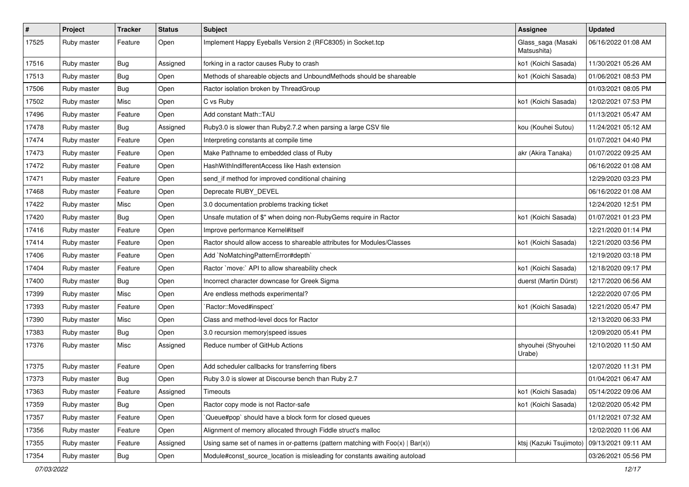| $\sharp$ | Project     | <b>Tracker</b> | <b>Status</b> | <b>Subject</b>                                                                    | <b>Assignee</b>                               | Updated             |
|----------|-------------|----------------|---------------|-----------------------------------------------------------------------------------|-----------------------------------------------|---------------------|
| 17525    | Ruby master | Feature        | Open          | Implement Happy Eyeballs Version 2 (RFC8305) in Socket.tcp                        | Glass_saga (Masaki<br>Matsushita)             | 06/16/2022 01:08 AM |
| 17516    | Ruby master | <b>Bug</b>     | Assigned      | forking in a ractor causes Ruby to crash                                          | ko1 (Koichi Sasada)                           | 11/30/2021 05:26 AM |
| 17513    | Ruby master | <b>Bug</b>     | Open          | Methods of shareable objects and UnboundMethods should be shareable               | ko1 (Koichi Sasada)                           | 01/06/2021 08:53 PM |
| 17506    | Ruby master | Bug            | Open          | Ractor isolation broken by ThreadGroup                                            |                                               | 01/03/2021 08:05 PM |
| 17502    | Ruby master | Misc           | Open          | C vs Ruby                                                                         | ko1 (Koichi Sasada)                           | 12/02/2021 07:53 PM |
| 17496    | Ruby master | Feature        | Open          | Add constant Math::TAU                                                            |                                               | 01/13/2021 05:47 AM |
| 17478    | Ruby master | <b>Bug</b>     | Assigned      | Ruby3.0 is slower than Ruby2.7.2 when parsing a large CSV file                    | kou (Kouhei Sutou)                            | 11/24/2021 05:12 AM |
| 17474    | Ruby master | Feature        | Open          | Interpreting constants at compile time                                            |                                               | 01/07/2021 04:40 PM |
| 17473    | Ruby master | Feature        | Open          | Make Pathname to embedded class of Ruby                                           | akr (Akira Tanaka)                            | 01/07/2022 09:25 AM |
| 17472    | Ruby master | Feature        | Open          | HashWithIndifferentAccess like Hash extension                                     |                                               | 06/16/2022 01:08 AM |
| 17471    | Ruby master | Feature        | Open          | send_if method for improved conditional chaining                                  |                                               | 12/29/2020 03:23 PM |
| 17468    | Ruby master | Feature        | Open          | Deprecate RUBY_DEVEL                                                              |                                               | 06/16/2022 01:08 AM |
| 17422    | Ruby master | Misc           | Open          | 3.0 documentation problems tracking ticket                                        |                                               | 12/24/2020 12:51 PM |
| 17420    | Ruby master | <b>Bug</b>     | Open          | Unsafe mutation of \$" when doing non-RubyGems require in Ractor                  | ko1 (Koichi Sasada)                           | 01/07/2021 01:23 PM |
| 17416    | Ruby master | Feature        | Open          | Improve performance Kernel#itself                                                 |                                               | 12/21/2020 01:14 PM |
| 17414    | Ruby master | Feature        | Open          | Ractor should allow access to shareable attributes for Modules/Classes            | ko1 (Koichi Sasada)                           | 12/21/2020 03:56 PM |
| 17406    | Ruby master | Feature        | Open          | Add `NoMatchingPatternError#depth`                                                |                                               | 12/19/2020 03:18 PM |
| 17404    | Ruby master | Feature        | Open          | Ractor `move:` API to allow shareability check                                    | ko1 (Koichi Sasada)                           | 12/18/2020 09:17 PM |
| 17400    | Ruby master | Bug            | Open          | Incorrect character downcase for Greek Sigma                                      | duerst (Martin Dürst)                         | 12/17/2020 06:56 AM |
| 17399    | Ruby master | Misc           | Open          | Are endless methods experimental?                                                 |                                               | 12/22/2020 07:05 PM |
| 17393    | Ruby master | Feature        | Open          | `Ractor::Moved#inspect`                                                           | ko1 (Koichi Sasada)                           | 12/21/2020 05:47 PM |
| 17390    | Ruby master | Misc           | Open          | Class and method-level docs for Ractor                                            |                                               | 12/13/2020 06:33 PM |
| 17383    | Ruby master | Bug            | Open          | 3.0 recursion memory speed issues                                                 |                                               | 12/09/2020 05:41 PM |
| 17376    | Ruby master | Misc           | Assigned      | Reduce number of GitHub Actions                                                   | shyouhei (Shyouhei<br>Urabe)                  | 12/10/2020 11:50 AM |
| 17375    | Ruby master | Feature        | Open          | Add scheduler callbacks for transferring fibers                                   |                                               | 12/07/2020 11:31 PM |
| 17373    | Ruby master | <b>Bug</b>     | Open          | Ruby 3.0 is slower at Discourse bench than Ruby 2.7                               |                                               | 01/04/2021 06:47 AM |
| 17363    | Ruby master | Feature        | Assigned      | Timeouts                                                                          | ko1 (Koichi Sasada)                           | 05/14/2022 09:06 AM |
| 17359    | Ruby master | Bug            | Open          | Ractor copy mode is not Ractor-safe                                               | ko1 (Koichi Sasada)                           | 12/02/2020 05:42 PM |
| 17357    | Ruby master | Feature        | Open          | Queue#pop` should have a block form for closed queues                             |                                               | 01/12/2021 07:32 AM |
| 17356    | Ruby master | Feature        | Open          | Alignment of memory allocated through Fiddle struct's malloc                      |                                               | 12/02/2020 11:06 AM |
| 17355    | Ruby master | Feature        | Assigned      | Using same set of names in or-patterns (pattern matching with $Foo(x)   Bar(x)$ ) | ktsj (Kazuki Tsujimoto)   09/13/2021 09:11 AM |                     |
| 17354    | Ruby master | <b>Bug</b>     | Open          | Module#const_source_location is misleading for constants awaiting autoload        |                                               | 03/26/2021 05:56 PM |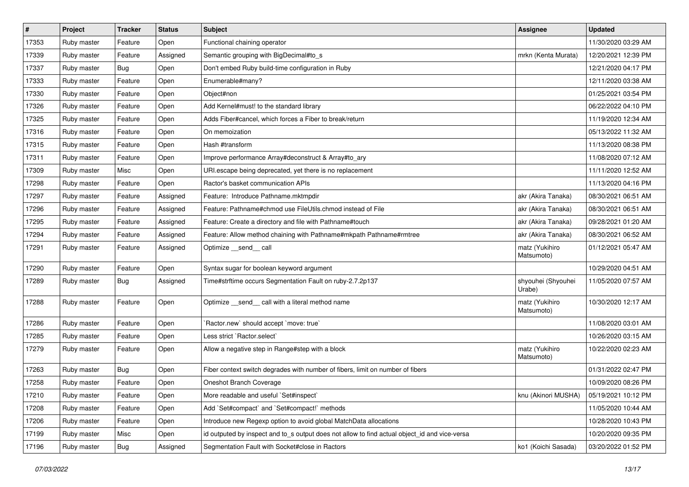| $\sharp$ | Project     | <b>Tracker</b> | <b>Status</b> | Subject                                                                                       | Assignee                     | <b>Updated</b>      |
|----------|-------------|----------------|---------------|-----------------------------------------------------------------------------------------------|------------------------------|---------------------|
| 17353    | Ruby master | Feature        | Open          | Functional chaining operator                                                                  |                              | 11/30/2020 03:29 AM |
| 17339    | Ruby master | Feature        | Assigned      | Semantic grouping with BigDecimal#to_s                                                        | mrkn (Kenta Murata)          | 12/20/2021 12:39 PM |
| 17337    | Ruby master | <b>Bug</b>     | Open          | Don't embed Ruby build-time configuration in Ruby                                             |                              | 12/21/2020 04:17 PM |
| 17333    | Ruby master | Feature        | Open          | Enumerable#many?                                                                              |                              | 12/11/2020 03:38 AM |
| 17330    | Ruby master | Feature        | Open          | Object#non                                                                                    |                              | 01/25/2021 03:54 PM |
| 17326    | Ruby master | Feature        | Open          | Add Kernel#must! to the standard library                                                      |                              | 06/22/2022 04:10 PM |
| 17325    | Ruby master | Feature        | Open          | Adds Fiber#cancel, which forces a Fiber to break/return                                       |                              | 11/19/2020 12:34 AM |
| 17316    | Ruby master | Feature        | Open          | On memoization                                                                                |                              | 05/13/2022 11:32 AM |
| 17315    | Ruby master | Feature        | Open          | Hash #transform                                                                               |                              | 11/13/2020 08:38 PM |
| 17311    | Ruby master | Feature        | Open          | Improve performance Array#deconstruct & Array#to_ary                                          |                              | 11/08/2020 07:12 AM |
| 17309    | Ruby master | Misc           | Open          | URI escape being deprecated, yet there is no replacement                                      |                              | 11/11/2020 12:52 AM |
| 17298    | Ruby master | Feature        | Open          | Ractor's basket communication APIs                                                            |                              | 11/13/2020 04:16 PM |
| 17297    | Ruby master | Feature        | Assigned      | Feature: Introduce Pathname.mktmpdir                                                          | akr (Akira Tanaka)           | 08/30/2021 06:51 AM |
| 17296    | Ruby master | Feature        | Assigned      | Feature: Pathname#chmod use FileUtils.chmod instead of File                                   | akr (Akira Tanaka)           | 08/30/2021 06:51 AM |
| 17295    | Ruby master | Feature        | Assigned      | Feature: Create a directory and file with Pathname#touch                                      | akr (Akira Tanaka)           | 09/28/2021 01:20 AM |
| 17294    | Ruby master | Feature        | Assigned      | Feature: Allow method chaining with Pathname#mkpath Pathname#rmtree                           | akr (Akira Tanaka)           | 08/30/2021 06:52 AM |
| 17291    | Ruby master | Feature        | Assigned      | Optimize __send__ call                                                                        | matz (Yukihiro<br>Matsumoto) | 01/12/2021 05:47 AM |
| 17290    | Ruby master | Feature        | Open          | Syntax sugar for boolean keyword argument                                                     |                              | 10/29/2020 04:51 AM |
| 17289    | Ruby master | Bug            | Assigned      | Time#strftime occurs Segmentation Fault on ruby-2.7.2p137                                     | shyouhei (Shyouhei<br>Urabe) | 11/05/2020 07:57 AM |
| 17288    | Ruby master | Feature        | Open          | Optimize _send_ call with a literal method name                                               | matz (Yukihiro<br>Matsumoto) | 10/30/2020 12:17 AM |
| 17286    | Ruby master | Feature        | Open          | 'Ractor.new' should accept 'move: true'                                                       |                              | 11/08/2020 03:01 AM |
| 17285    | Ruby master | Feature        | Open          | Less strict `Ractor.select`                                                                   |                              | 10/26/2020 03:15 AM |
| 17279    | Ruby master | Feature        | Open          | Allow a negative step in Range#step with a block                                              | matz (Yukihiro<br>Matsumoto) | 10/22/2020 02:23 AM |
| 17263    | Ruby master | <b>Bug</b>     | Open          | Fiber context switch degrades with number of fibers, limit on number of fibers                |                              | 01/31/2022 02:47 PM |
| 17258    | Ruby master | Feature        | Open          | Oneshot Branch Coverage                                                                       |                              | 10/09/2020 08:26 PM |
| 17210    | Ruby master | Feature        | Open          | More readable and useful `Set#inspect`                                                        | knu (Akinori MUSHA)          | 05/19/2021 10:12 PM |
| 17208    | Ruby master | Feature        | Open          | Add `Set#compact` and `Set#compact!` methods                                                  |                              | 11/05/2020 10:44 AM |
| 17206    | Ruby master | Feature        | Open          | Introduce new Regexp option to avoid global MatchData allocations                             |                              | 10/28/2020 10:43 PM |
| 17199    | Ruby master | Misc           | Open          | id outputed by inspect and to_s output does not allow to find actual object id and vice-versa |                              | 10/20/2020 09:35 PM |
| 17196    | Ruby master | <b>Bug</b>     | Assigned      | Segmentation Fault with Socket#close in Ractors                                               | ko1 (Koichi Sasada)          | 03/20/2022 01:52 PM |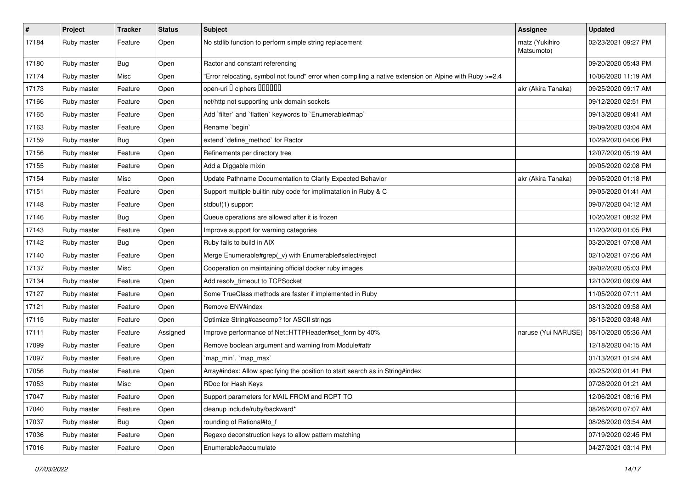| $\pmb{\#}$ | Project     | <b>Tracker</b> | <b>Status</b> | Subject                                                                                               | <b>Assignee</b>              | <b>Updated</b>      |
|------------|-------------|----------------|---------------|-------------------------------------------------------------------------------------------------------|------------------------------|---------------------|
| 17184      | Ruby master | Feature        | Open          | No stdlib function to perform simple string replacement                                               | matz (Yukihiro<br>Matsumoto) | 02/23/2021 09:27 PM |
| 17180      | Ruby master | Bug            | Open          | Ractor and constant referencing                                                                       |                              | 09/20/2020 05:43 PM |
| 17174      | Ruby master | Misc           | Open          | Error relocating, symbol not found" error when compiling a native extension on Alpine with Ruby >=2.4 |                              | 10/06/2020 11:19 AM |
| 17173      | Ruby master | Feature        | Open          | open-uri I ciphers IIIIIII                                                                            | akr (Akira Tanaka)           | 09/25/2020 09:17 AM |
| 17166      | Ruby master | Feature        | Open          | net/http not supporting unix domain sockets                                                           |                              | 09/12/2020 02:51 PM |
| 17165      | Ruby master | Feature        | Open          | Add 'filter' and 'flatten' keywords to 'Enumerable#map'                                               |                              | 09/13/2020 09:41 AM |
| 17163      | Ruby master | Feature        | Open          | Rename `begin`                                                                                        |                              | 09/09/2020 03:04 AM |
| 17159      | Ruby master | Bug            | Open          | extend 'define_method' for Ractor                                                                     |                              | 10/29/2020 04:06 PM |
| 17156      | Ruby master | Feature        | Open          | Refinements per directory tree                                                                        |                              | 12/07/2020 05:19 AM |
| 17155      | Ruby master | Feature        | Open          | Add a Diggable mixin                                                                                  |                              | 09/05/2020 02:08 PM |
| 17154      | Ruby master | Misc           | Open          | Update Pathname Documentation to Clarify Expected Behavior                                            | akr (Akira Tanaka)           | 09/05/2020 01:18 PM |
| 17151      | Ruby master | Feature        | Open          | Support multiple builtin ruby code for implimatation in Ruby & C                                      |                              | 09/05/2020 01:41 AM |
| 17148      | Ruby master | Feature        | Open          | stdbuf(1) support                                                                                     |                              | 09/07/2020 04:12 AM |
| 17146      | Ruby master | Bug            | Open          | Queue operations are allowed after it is frozen                                                       |                              | 10/20/2021 08:32 PM |
| 17143      | Ruby master | Feature        | Open          | Improve support for warning categories                                                                |                              | 11/20/2020 01:05 PM |
| 17142      | Ruby master | Bug            | Open          | Ruby fails to build in AIX                                                                            |                              | 03/20/2021 07:08 AM |
| 17140      | Ruby master | Feature        | Open          | Merge Enumerable#grep(_v) with Enumerable#select/reject                                               |                              | 02/10/2021 07:56 AM |
| 17137      | Ruby master | Misc           | Open          | Cooperation on maintaining official docker ruby images                                                |                              | 09/02/2020 05:03 PM |
| 17134      | Ruby master | Feature        | Open          | Add resolv_timeout to TCPSocket                                                                       |                              | 12/10/2020 09:09 AM |
| 17127      | Ruby master | Feature        | Open          | Some TrueClass methods are faster if implemented in Ruby                                              |                              | 11/05/2020 07:11 AM |
| 17121      | Ruby master | Feature        | Open          | Remove ENV#index                                                                                      |                              | 08/13/2020 09:58 AM |
| 17115      | Ruby master | Feature        | Open          | Optimize String#casecmp? for ASCII strings                                                            |                              | 08/15/2020 03:48 AM |
| 17111      | Ruby master | Feature        | Assigned      | Improve performance of Net::HTTPHeader#set_form by 40%                                                | naruse (Yui NARUSE)          | 08/10/2020 05:36 AM |
| 17099      | Ruby master | Feature        | Open          | Remove boolean argument and warning from Module#attr                                                  |                              | 12/18/2020 04:15 AM |
| 17097      | Ruby master | Feature        | Open          | `map_min`, `map_max`                                                                                  |                              | 01/13/2021 01:24 AM |
| 17056      | Ruby master | Feature        | Open          | Array#index: Allow specifying the position to start search as in String#index                         |                              | 09/25/2020 01:41 PM |
| 17053      | Ruby master | Misc           | Open          | RDoc for Hash Keys                                                                                    |                              | 07/28/2020 01:21 AM |
| 17047      | Ruby master | Feature        | Open          | Support parameters for MAIL FROM and RCPT TO                                                          |                              | 12/06/2021 08:16 PM |
| 17040      | Ruby master | Feature        | Open          | cleanup include/ruby/backward*                                                                        |                              | 08/26/2020 07:07 AM |
| 17037      | Ruby master | <b>Bug</b>     | Open          | rounding of Rational#to_f                                                                             |                              | 08/26/2020 03:54 AM |
| 17036      | Ruby master | Feature        | Open          | Regexp deconstruction keys to allow pattern matching                                                  |                              | 07/19/2020 02:45 PM |
| 17016      | Ruby master | Feature        | Open          | Enumerable#accumulate                                                                                 |                              | 04/27/2021 03:14 PM |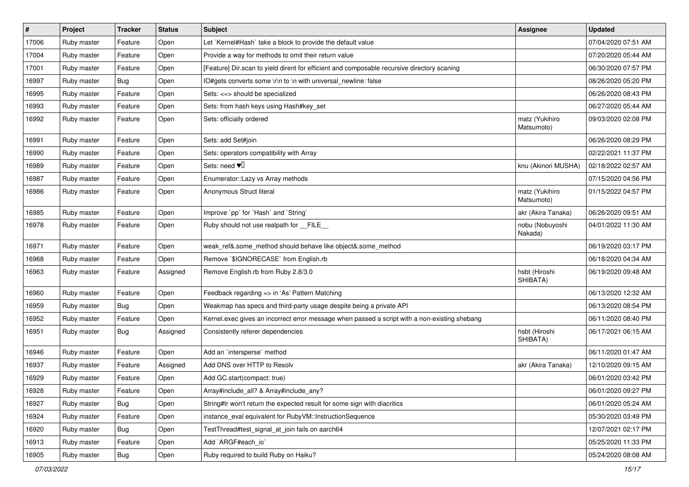| $\vert$ # | Project     | <b>Tracker</b> | <b>Status</b> | <b>Subject</b>                                                                                | <b>Assignee</b>              | <b>Updated</b>      |
|-----------|-------------|----------------|---------------|-----------------------------------------------------------------------------------------------|------------------------------|---------------------|
| 17006     | Ruby master | Feature        | Open          | Let `Kernel#Hash` take a block to provide the default value                                   |                              | 07/04/2020 07:51 AM |
| 17004     | Ruby master | Feature        | Open          | Provide a way for methods to omit their return value                                          |                              | 07/20/2020 05:44 AM |
| 17001     | Ruby master | Feature        | Open          | [Feature] Dir.scan to yield dirent for efficient and composable recursive directory scaning   |                              | 06/30/2020 07:57 PM |
| 16997     | Ruby master | <b>Bug</b>     | Open          | IO#gets converts some \r\n to \n with universal_newline: false                                |                              | 08/26/2020 05:20 PM |
| 16995     | Ruby master | Feature        | Open          | Sets: <=> should be specialized                                                               |                              | 06/26/2020 08:43 PM |
| 16993     | Ruby master | Feature        | Open          | Sets: from hash keys using Hash#key_set                                                       |                              | 06/27/2020 05:44 AM |
| 16992     | Ruby master | Feature        | Open          | Sets: officially ordered                                                                      | matz (Yukihiro<br>Matsumoto) | 09/03/2020 02:08 PM |
| 16991     | Ruby master | Feature        | Open          | Sets: add Set#join                                                                            |                              | 06/26/2020 08:29 PM |
| 16990     | Ruby master | Feature        | Open          | Sets: operators compatibility with Array                                                      |                              | 02/22/2021 11:37 PM |
| 16989     | Ruby master | Feature        | Open          | Sets: need $\Psi$                                                                             | knu (Akinori MUSHA)          | 02/18/2022 02:57 AM |
| 16987     | Ruby master | Feature        | Open          | Enumerator::Lazy vs Array methods                                                             |                              | 07/15/2020 04:56 PM |
| 16986     | Ruby master | Feature        | Open          | Anonymous Struct literal                                                                      | matz (Yukihiro<br>Matsumoto) | 01/15/2022 04:57 PM |
| 16985     | Ruby master | Feature        | Open          | Improve `pp` for `Hash` and `String`                                                          | akr (Akira Tanaka)           | 06/26/2020 09:51 AM |
| 16978     | Ruby master | Feature        | Open          | Ruby should not use realpath for __FILE_                                                      | nobu (Nobuyoshi<br>Nakada)   | 04/01/2022 11:30 AM |
| 16971     | Ruby master | Feature        | Open          | weak_ref&.some_method should behave like object&.some_method                                  |                              | 06/19/2020 03:17 PM |
| 16968     | Ruby master | Feature        | Open          | Remove `\$IGNORECASE` from English.rb                                                         |                              | 06/18/2020 04:34 AM |
| 16963     | Ruby master | Feature        | Assigned      | Remove English.rb from Ruby 2.8/3.0                                                           | hsbt (Hiroshi<br>SHIBATA)    | 06/19/2020 09:48 AM |
| 16960     | Ruby master | Feature        | Open          | Feedback regarding => in 'As' Pattern Matching                                                |                              | 06/13/2020 12:32 AM |
| 16959     | Ruby master | <b>Bug</b>     | Open          | Weakmap has specs and third-party usage despite being a private API                           |                              | 06/13/2020 08:54 PM |
| 16952     | Ruby master | Feature        | Open          | Kernel.exec gives an incorrect error message when passed a script with a non-existing shebang |                              | 06/11/2020 08:40 PM |
| 16951     | Ruby master | <b>Bug</b>     | Assigned      | Consistently referer dependencies                                                             | hsbt (Hiroshi<br>SHIBATA)    | 06/17/2021 06:15 AM |
| 16946     | Ruby master | Feature        | Open          | Add an 'intersperse' method                                                                   |                              | 06/11/2020 01:47 AM |
| 16937     | Ruby master | Feature        | Assigned      | Add DNS over HTTP to Resolv                                                                   | akr (Akira Tanaka)           | 12/10/2020 09:15 AM |
| 16929     | Ruby master | Feature        | Open          | Add GC.start(compact: true)                                                                   |                              | 06/01/2020 03:42 PM |
| 16928     | Ruby master | Feature        | Open          | Array#include_all? & Array#include_any?                                                       |                              | 06/01/2020 09:27 PM |
| 16927     | Ruby master | <b>Bug</b>     | Open          | String#tr won't return the expected result for some sign with diacritics                      |                              | 06/01/2020 05:24 AM |
| 16924     | Ruby master | Feature        | Open          | instance_eval equivalent for RubyVM::InstructionSequence                                      |                              | 05/30/2020 03:49 PM |
| 16920     | Ruby master | <b>Bug</b>     | Open          | TestThread#test_signal_at_join fails on aarch64                                               |                              | 12/07/2021 02:17 PM |
| 16913     | Ruby master | Feature        | Open          | Add `ARGF#each_io`                                                                            |                              | 05/25/2020 11:33 PM |
| 16905     | Ruby master | <b>Bug</b>     | Open          | Ruby required to build Ruby on Haiku?                                                         |                              | 05/24/2020 08:08 AM |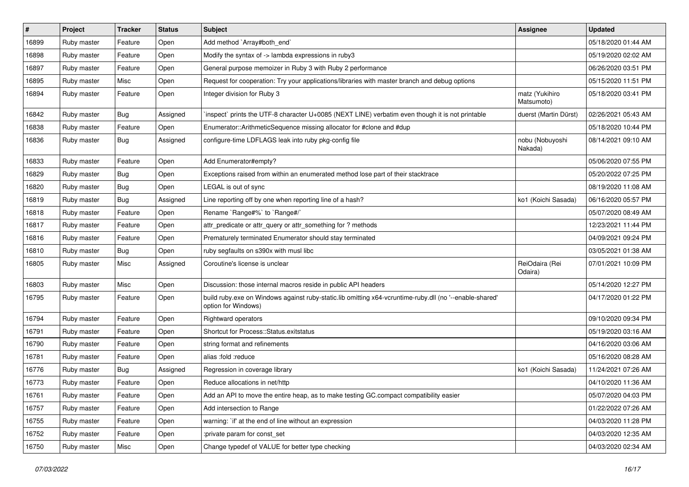| $\vert$ # | Project     | <b>Tracker</b> | <b>Status</b> | Subject                                                                                                                        | <b>Assignee</b>              | <b>Updated</b>      |
|-----------|-------------|----------------|---------------|--------------------------------------------------------------------------------------------------------------------------------|------------------------------|---------------------|
| 16899     | Ruby master | Feature        | Open          | Add method `Array#both_end`                                                                                                    |                              | 05/18/2020 01:44 AM |
| 16898     | Ruby master | Feature        | Open          | Modify the syntax of -> lambda expressions in ruby3                                                                            |                              | 05/19/2020 02:02 AM |
| 16897     | Ruby master | Feature        | Open          | General purpose memoizer in Ruby 3 with Ruby 2 performance                                                                     |                              | 06/26/2020 03:51 PM |
| 16895     | Ruby master | Misc           | Open          | Request for cooperation: Try your applications/libraries with master branch and debug options                                  |                              | 05/15/2020 11:51 PM |
| 16894     | Ruby master | Feature        | Open          | Integer division for Ruby 3                                                                                                    | matz (Yukihiro<br>Matsumoto) | 05/18/2020 03:41 PM |
| 16842     | Ruby master | <b>Bug</b>     | Assigned      | inspect` prints the UTF-8 character U+0085 (NEXT LINE) verbatim even though it is not printable                                | duerst (Martin Dürst)        | 02/26/2021 05:43 AM |
| 16838     | Ruby master | Feature        | Open          | Enumerator::ArithmeticSequence missing allocator for #clone and #dup                                                           |                              | 05/18/2020 10:44 PM |
| 16836     | Ruby master | <b>Bug</b>     | Assigned      | configure-time LDFLAGS leak into ruby pkg-config file                                                                          | nobu (Nobuyoshi<br>Nakada)   | 08/14/2021 09:10 AM |
| 16833     | Ruby master | Feature        | Open          | Add Enumerator#empty?                                                                                                          |                              | 05/06/2020 07:55 PM |
| 16829     | Ruby master | <b>Bug</b>     | Open          | Exceptions raised from within an enumerated method lose part of their stacktrace                                               |                              | 05/20/2022 07:25 PM |
| 16820     | Ruby master | <b>Bug</b>     | Open          | LEGAL is out of sync                                                                                                           |                              | 08/19/2020 11:08 AM |
| 16819     | Ruby master | <b>Bug</b>     | Assigned      | Line reporting off by one when reporting line of a hash?                                                                       | ko1 (Koichi Sasada)          | 06/16/2020 05:57 PM |
| 16818     | Ruby master | Feature        | Open          | Rename `Range#%` to `Range#/`                                                                                                  |                              | 05/07/2020 08:49 AM |
| 16817     | Ruby master | Feature        | Open          | attr_predicate or attr_query or attr_something for ? methods                                                                   |                              | 12/23/2021 11:44 PM |
| 16816     | Ruby master | Feature        | Open          | Prematurely terminated Enumerator should stay terminated                                                                       |                              | 04/09/2021 09:24 PM |
| 16810     | Ruby master | Bug            | Open          | ruby segfaults on s390x with musl libc                                                                                         |                              | 03/05/2021 01:38 AM |
| 16805     | Ruby master | Misc           | Assigned      | Coroutine's license is unclear                                                                                                 | ReiOdaira (Rei<br>Odaira)    | 07/01/2021 10:09 PM |
| 16803     | Ruby master | Misc           | Open          | Discussion: those internal macros reside in public API headers                                                                 |                              | 05/14/2020 12:27 PM |
| 16795     | Ruby master | Feature        | Open          | build ruby.exe on Windows against ruby-static.lib omitting x64-vcruntime-ruby.dll (no '--enable-shared'<br>option for Windows) |                              | 04/17/2020 01:22 PM |
| 16794     | Ruby master | Feature        | Open          | <b>Rightward operators</b>                                                                                                     |                              | 09/10/2020 09:34 PM |
| 16791     | Ruby master | Feature        | Open          | Shortcut for Process::Status.exitstatus                                                                                        |                              | 05/19/2020 03:16 AM |
| 16790     | Ruby master | Feature        | Open          | string format and refinements                                                                                                  |                              | 04/16/2020 03:06 AM |
| 16781     | Ruby master | Feature        | Open          | alias :fold :reduce                                                                                                            |                              | 05/16/2020 08:28 AM |
| 16776     | Ruby master | <b>Bug</b>     | Assigned      | Regression in coverage library                                                                                                 | ko1 (Koichi Sasada)          | 11/24/2021 07:26 AM |
| 16773     | Ruby master | Feature        | Open          | Reduce allocations in net/http                                                                                                 |                              | 04/10/2020 11:36 AM |
| 16761     | Ruby master | Feature        | Open          | Add an API to move the entire heap, as to make testing GC.compact compatibility easier                                         |                              | 05/07/2020 04:03 PM |
| 16757     | Ruby master | Feature        | Open          | Add intersection to Range                                                                                                      |                              | 01/22/2022 07:26 AM |
| 16755     | Ruby master | Feature        | Open          | warning: `if' at the end of line without an expression                                                                         |                              | 04/03/2020 11:28 PM |
| 16752     | Ruby master | Feature        | Open          | :private param for const_set                                                                                                   |                              | 04/03/2020 12:35 AM |
| 16750     | Ruby master | Misc           | Open          | Change typedef of VALUE for better type checking                                                                               |                              | 04/03/2020 02:34 AM |